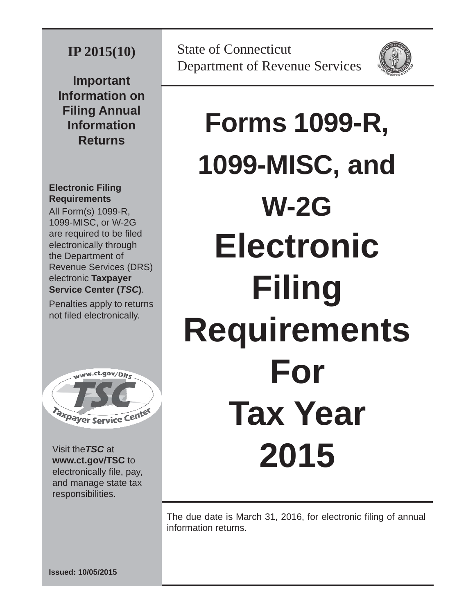### **IP 2015(10)**

**Important Information on Filing Annual Information Returns**

### **Electronic Filing Requirements**

All Form(s) 1099-R, 1099-MISC, or W-2G are required to be filed electronically through the Department of Revenue Services (DRS) electronic **Taxpayer Service Center (***TSC***)**.

Penalties apply to returns not filed electronically.



Visit the*TSC* at **www.ct.gov/TSC** to electronically file, pay, and manage state tax responsibilities.



# **Forms 1099-R, 1099-MISC, and W-2G Electronic Filing Requirements For Tax Year 2015**

The due date is March 31, 2016, for electronic filing of annual information returns.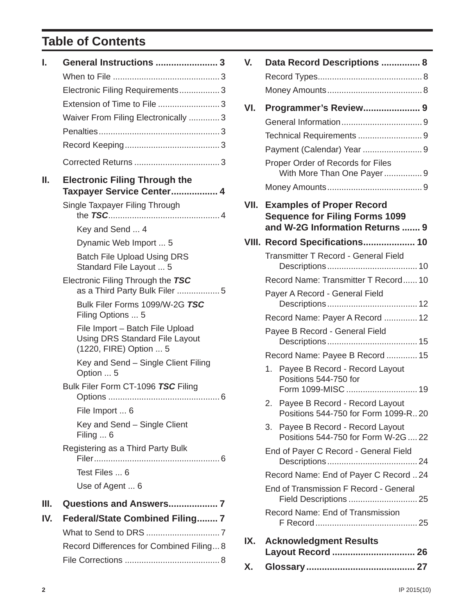### **Table of Contents**

| I.  | General Instructions  3                                                                            |
|-----|----------------------------------------------------------------------------------------------------|
|     |                                                                                                    |
|     | Electronic Filing Requirements3                                                                    |
|     | Extension of Time to File  3                                                                       |
|     | Waiver From Filing Electronically 3                                                                |
|     |                                                                                                    |
|     |                                                                                                    |
|     |                                                                                                    |
| II. | <b>Electronic Filing Through the</b><br>Taxpayer Service Center 4                                  |
|     | Single Taxpayer Filing Through                                                                     |
|     | Key and Send  4                                                                                    |
|     | Dynamic Web Import  5                                                                              |
|     | <b>Batch File Upload Using DRS</b><br>Standard File Layout  5                                      |
|     | Electronic Filing Through the TSC<br>as a Third Party Bulk Filer 5                                 |
|     | Bulk Filer Forms 1099/W-2G TSC<br>Filing Options  5                                                |
|     | File Import - Batch File Upload<br><b>Using DRS Standard File Layout</b><br>(1220, FIRE) Option  5 |
|     | Key and Send - Single Client Filing<br>Option  5                                                   |
|     | Bulk Filer Form CT-1096 TSC Filing                                                                 |
|     | File Import  6                                                                                     |
|     | Key and Send – Single Client<br>Filing  6                                                          |
|     | Registering as a Third Party Bulk                                                                  |
|     | Test Files  6                                                                                      |
|     | Use of Agent  6                                                                                    |
| Ш.  | Questions and Answers 7                                                                            |
| IV. | <b>Federal/State Combined Filing 7</b>                                                             |
|     |                                                                                                    |
|     | Record Differences for Combined Filing 8                                                           |
|     |                                                                                                    |

| V.   | Data Record Descriptions  8                                                                                           |
|------|-----------------------------------------------------------------------------------------------------------------------|
| VI.  | Programmer's Review 9<br>Payment (Calendar) Year 9<br>Proper Order of Records for Files<br>With More Than One Payer 9 |
|      |                                                                                                                       |
| VII. | <b>Examples of Proper Record</b><br><b>Sequence for Filing Forms 1099</b><br>and W-2G Information Returns  9          |
|      | VIII. Record Specifications 10                                                                                        |
|      | <b>Transmitter T Record - General Field</b>                                                                           |
|      |                                                                                                                       |
|      | Record Name: Transmitter T Record 10                                                                                  |
|      | Payer A Record - General Field                                                                                        |
|      | Record Name: Payer A Record  12                                                                                       |
|      | Payee B Record - General Field                                                                                        |
|      | Record Name: Payee B Record  15                                                                                       |
|      | Payee B Record - Record Layout<br>1.<br>Positions 544-750 for<br>Form 1099-MISC  19                                   |
|      | 2. Payee B Record - Record Layout<br>Positions 544-750 for Form 1099-R20                                              |
|      | Payee B Record - Record Layout<br>3.<br>Positions 544-750 for Form W-2G  22                                           |
|      | End of Payer C Record - General Field                                                                                 |
|      | Record Name: End of Payer C Record  24                                                                                |
|      | End of Transmission F Record - General                                                                                |
|      | Record Name: End of Transmission                                                                                      |
| IX.  | <b>Acknowledgment Results</b><br>Layout Record  26                                                                    |
| Х.   |                                                                                                                       |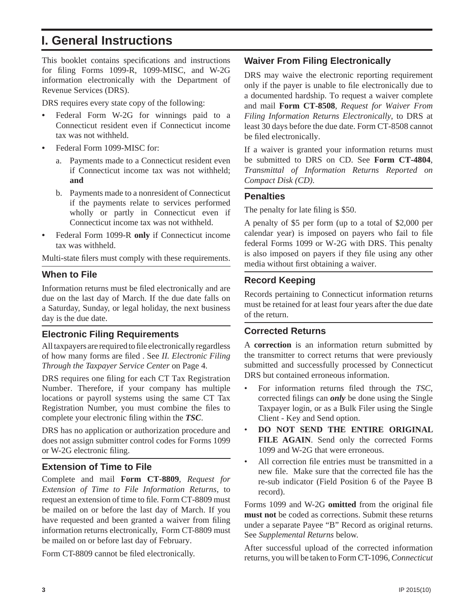### **I. General Instructions**

This booklet contains specifications and instructions for filing Forms 1099-R, 1099-MISC, and W-2G information electronically with the Department of Revenue Services (DRS).

DRS requires every state copy of the following:

- **•** Federal Form W-2G for winnings paid to a Connecticut resident even if Connecticut income tax was not withheld.
- Federal Form 1099-MISC for:
	- a. Payments made to a Connecticut resident even if Connecticut income tax was not withheld; **and**
	- b. Payments made to a nonresident of Connecticut if the payments relate to services performed wholly or partly in Connecticut even if Connecticut income tax was not withheld.
- **•** Federal Form 1099-R **only** if Connecticut income tax was withheld.

Multi-state filers must comply with these requirements.

### **When to File**

Information returns must be filed electronically and are due on the last day of March. If the due date falls on a Saturday, Sunday, or legal holiday, the next business day is the due date.

### **Electronic Filing Requirements**

All taxpayers are required to file electronically regardless of how many forms are filed . See *II. Electronic Filing Through the Taxpayer Service Center* on Page 4.

DRS requires one filing for each CT Tax Registration Number. Therefore, if your company has multiple locations or payroll systems using the same CT Tax Registration Number, you must combine the files to complete your electronic filing within the *TSC*.

DRS has no application or authorization procedure and does not assign submitter control codes for Forms 1099 or W-2G electronic filing.

### **Extension of Time to File**

Complete and mail **Form CT-8809**, *Request for Extension of Time to File Information Returns,* to request an extension of time to file. Form CT-8809 must be mailed on or before the last day of March. If you have requested and been granted a waiver from filing information returns electronically, Form CT-8809 must be mailed on or before last day of February.

Form CT-8809 cannot be filed electronically.

### **Waiver From Filing Electronically**

DRS may waive the electronic reporting requirement only if the payer is unable to file electronically due to a documented hardship. To request a waiver complete and mail **Form CT-8508**, *Request for Waiver From Filing Information Returns Electronically*, to DRS at least 30 days before the due date. Form CT-8508 cannot be filed electronically.

If a waiver is granted your information returns must be submitted to DRS on CD. See **Form CT-4804**, *Transmittal of Information Returns Reported on Compact Disk (CD)*.

### **Penalties**

The penalty for late filing is \$50.

A penalty of \$5 per form (up to a total of \$2,000 per calendar year) is imposed on payers who fail to file federal Forms 1099 or W-2G with DRS. This penalty is also imposed on payers if they file using any other media without first obtaining a waiver.

### **Record Keeping**

Records pertaining to Connecticut information returns must be retained for at least four years after the due date of the return.

### **Corrected Returns**

A **correction** is an information return submitted by the transmitter to correct returns that were previously submitted and successfully processed by Connecticut DRS but contained erroneous information.

- For information returns filed through the *TSC*, corrected filings can *only* be done using the Single Taxpayer login, or as a Bulk Filer using the Single Client - Key and Send option.
- **DO NOT SEND THE ENTIRE ORIGINAL FILE AGAIN**. Send only the corrected Forms 1099 and W-2G that were erroneous.
- All correction file entries must be transmitted in a new file. Make sure that the corrected file has the re-sub indicator (Field Position 6 of the Payee B record).

Forms 1099 and W-2G **omitted** from the original file **must not** be coded as corrections. Submit these returns under a separate Payee "B" Record as original returns. See *Supplemental Returns* below.

After successful upload of the corrected information returns, you will be taken to Form CT-1096, *Connecticut*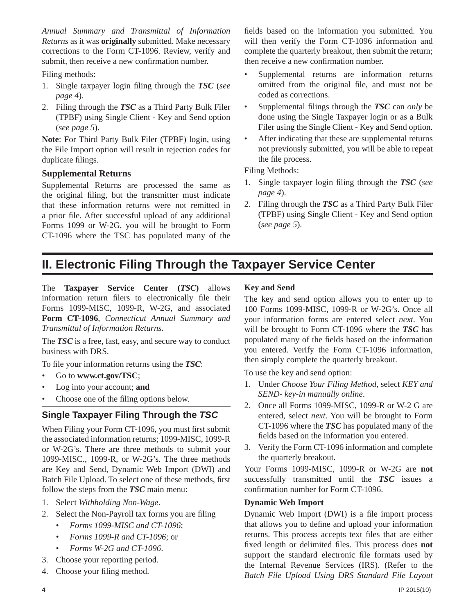*Annual Summary and Transmittal of Information Returns* as it was **originally** submitted. Make necessary corrections to the Form CT-1096. Review, verify and submit, then receive a new confirmation number.

Filing methods:

- 1. Single taxpayer login filing through the *TSC* (*see page 4*).
- 2. Filing through the *TSC* as a Third Party Bulk Filer (TPBF) using Single Client - Key and Send option (*see page 5*).

**Note**: For Third Party Bulk Filer (TPBF) login, using the File Import option will result in rejection codes for duplicate filings.

### **Supplemental Returns**

Supplemental Returns are processed the same as the original filing, but the transmitter must indicate that these information returns were not remitted in a prior file. After successful upload of any additional Forms 1099 or W-2G, you will be brought to Form CT-1096 where the TSC has populated many of the

fields based on the information you submitted. You will then verify the Form CT-1096 information and complete the quarterly breakout, then submit the return; then receive a new confirmation number.

- Supplemental returns are information returns omitted from the original file, and must not be coded as corrections.
- Supplemental filings through the *TSC* can *only* be done using the Single Taxpayer login or as a Bulk Filer using the Single Client - Key and Send option.
- After indicating that these are supplemental returns not previously submitted, you will be able to repeat the file process.

Filing Methods:

- 1. Single taxpayer login filing through the *TSC* (*see page 4*).
- 2. Filing through the *TSC* as a Third Party Bulk Filer (TPBF) using Single Client - Key and Send option (*see page 5*).

### **II. Electronic Filing Through the Taxpayer Service Center**

The **Taxpayer Service Center (***TSC***)** allows information return filers to electronically file their Forms 1099-MISC, 1099-R, W-2G, and associated **Form CT-1096**, *Connecticut Annual Summary and Transmittal of Information Returns.*

The *TSC* is a free, fast, easy, and secure way to conduct business with DRS.

To file your information returns using the *TSC*:

- Go to **www.ct.gov/TSC**;
- Log into your account; **and**
- Choose one of the filing options below.

### **Single Taxpayer Filing Through the** *TSC*

When Filing your Form CT-1096, you must first submit the associated information returns; 1099-MISC, 1099-R or W-2G's. There are three methods to submit your 1099-MISC., 1099-R, or W-2G's. The three methods are Key and Send, Dynamic Web Import (DWI) and Batch File Upload. To select one of these methods, first follow the steps from the *TSC* main menu:

- 1. Select *Withholding Non-Wage*.
- 2. Select the Non-Payroll tax forms you are filing
	- *Forms 1099-MISC and CT-1096*;
	- *Forms 1099-R and CT-1096*; or
	- *Forms W-2G and CT-1096*.
- 3. Choose your reporting period.
- 4. Choose your filing method.

### **Key and Send**

The key and send option allows you to enter up to 100 Forms 1099-MISC, 1099-R or W-2G's. Once all your information forms are entered select *next*. You will be brought to Form CT-1096 where the *TSC* has populated many of the fields based on the information you entered. Verify the Form CT-1096 information, then simply complete the quarterly breakout.

To use the key and send option:

- 1. Under *Choose Your Filing Method*, select *KEY and SEND- key-in manually online*.
- 2. Once all Forms 1099-MISC, 1099-R or W-2 G are entered, select *next*. You will be brought to Form CT-1096 where the *TSC* has populated many of the fields based on the information you entered.
- 3. Verify the Form CT-1096 information and complete the quarterly breakout.

Your Forms 1099-MISC, 1099-R or W-2G are **not**  successfully transmitted until the *TSC* issues a confirmation number for Form CT-1096.

### **Dynamic Web Import**

Dynamic Web Import (DWI) is a file import process that allows you to define and upload your information returns. This process accepts text files that are either fixed length or delimited files. This process does not support the standard electronic file formats used by the Internal Revenue Services (IRS). (Refer to the *Batch File Upload Using DRS Standard File Layout*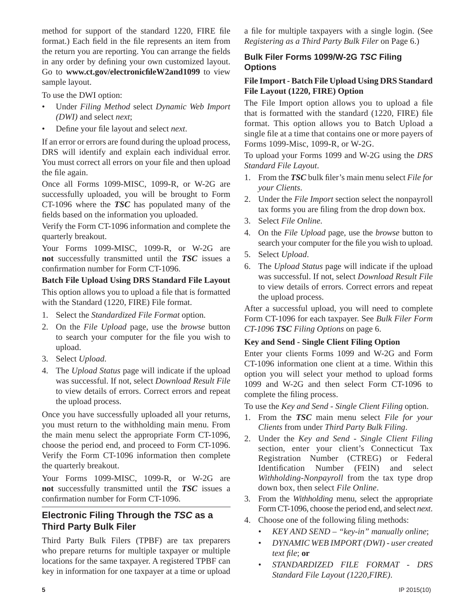method for support of the standard 1220, FIRE file format.) Each field in the file represents an item from the return you are reporting. You can arrange the fields in any order by defining your own customized layout. Go to **www.ct.gov/electronicfi leW2and1099** to view sample layout.

To use the DWI option:

- Under *Filing Method* select *Dynamic Web Import (DWI)* and select *next*;
- Define your file layout and select *next*.

If an error or errors are found during the upload process, DRS will identify and explain each individual error. You must correct all errors on your file and then upload the file again.

Once all Forms 1099-MISC, 1099-R, or W-2G are successfully uploaded, you will be brought to Form CT-1096 where the *TSC* has populated many of the fields based on the information you uploaded.

Verify the Form CT-1096 information and complete the quarterly breakout.

Your Forms 1099-MISC, 1099-R, or W-2G are **not** successfully transmitted until the *TSC* issues a confirmation number for Form CT-1096.

**Batch File Upload Using DRS Standard File Layout** This option allows you to upload a file that is formatted with the Standard (1220, FIRE) File format.

- 1. Select the *Standardized File Format* option.
- 2. On the *File Upload* page, use the *browse* button to search your computer for the file you wish to upload.
- 3. Select *Upload*.
- 4. The *Upload Status* page will indicate if the upload was successful. If not, select *Download Result File* to view details of errors. Correct errors and repeat the upload process.

Once you have successfully uploaded all your returns, you must return to the withholding main menu. From the main menu select the appropriate Form CT-1096, choose the period end, and proceed to Form CT-1096. Verify the Form CT-1096 information then complete the quarterly breakout.

Your Forms 1099-MISC, 1099-R, or W-2G are **not** successfully transmitted until the *TSC* issues a confirmation number for Form CT-1096.

### **Electronic Filing Through the** *TSC* **as a Third Party Bulk Filer**

Third Party Bulk Filers (TPBF) are tax preparers who prepare returns for multiple taxpayer or multiple locations for the same taxpayer. A registered TPBF can key in information for one taxpayer at a time or upload a file for multiple taxpayers with a single login. (See *Registering as a Third Party Bulk Filer* on Page 6.)

### **Bulk Filer Forms 1099/W-2G** *TSC* **Filing Options**

### **File Import - Batch File Upload Using DRS Standard File Layout (1220, FIRE) Option**

The File Import option allows you to upload a file that is formatted with the standard  $(1220,$  FIRE) file format. This option allows you to Batch Upload a single file at a time that contains one or more payers of Forms 1099-Misc, 1099-R, or W-2G.

To upload your Forms 1099 and W-2G using the *DRS Standard File Layout*.

- 1. From the **TSC** bulk filer's main menu select *File for your Clients*.
- 2. Under the *File Import* section select the nonpayroll tax forms you are filing from the drop down box.
- 3. Select *File Online*.
- 4. On the *File Upload* page, use the *browse* button to search your computer for the file you wish to upload.
- 5. Select *Upload*.
- 6. The *Upload Status* page will indicate if the upload was successful. If not, select *Download Result File* to view details of errors. Correct errors and repeat the upload process.

After a successful upload, you will need to complete Form CT-1096 for each taxpayer. See *Bulk Filer Form CT-1096 TSC Filing Options* on page 6.

### **Key and Send - Single Client Filing Option**

Enter your clients Forms 1099 and W-2G and Form CT-1096 information one client at a time. Within this option you will select your method to upload forms 1099 and W-2G and then select Form CT-1096 to complete the filing process.

To use the *Key and Send - Single Client Filing* option.

- 1. From the *TSC* main menu select *File for your Clients* from under *Third Party Bulk Filing*.
- 2. Under the *Key and Send Single Client Filing*  section, enter your client's Connecticut Tax Registration Number (CTREG) or Federal Identification Number (FEIN) and select *Withholding-Nonpayroll* from the tax type drop down box, then select *File Online*.
- 3. From the *Withholding* menu, select the appropriate Form CT-1096, choose the period end, and select *next*.
- 4. Choose one of the following filing methods:
	- *KEY AND SEND "key-in" manually online*;
	- *DYNAMIC WEB IMPORT (DWI) user created text file*; or
	- *STANDARDIZED FILE FORMAT DRS Standard File Layout (1220,FIRE)*.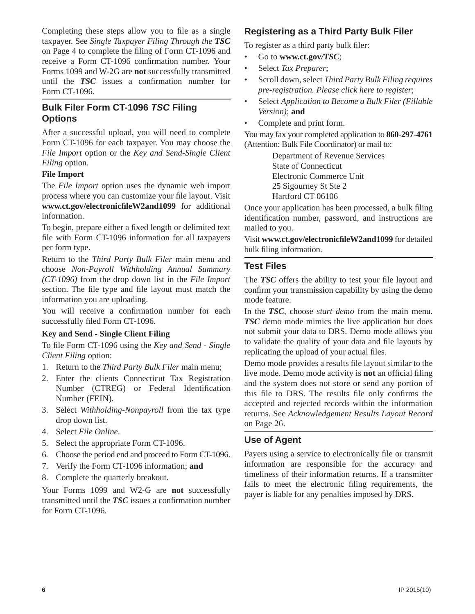Completing these steps allow you to file as a single taxpayer. See *Single Taxpayer Filing Through the TSC* on Page 4 to complete the filing of Form CT-1096 and receive a Form CT-1096 confirmation number. Your Forms 1099 and W-2G are **not** successfully transmitted until the **TSC** issues a confirmation number for Form CT-1096.

### **Bulk Filer Form CT-1096** *TSC* **Filing Options**

After a successful upload, you will need to complete Form CT-1096 for each taxpayer. You may choose the *File Import* option or the *Key and Send-Single Client Filing* option.

### **File Import**

The *File Import* option uses the dynamic web import process where you can customize your file layout. Visit **www.ct.gov/electronicfi leW2and1099** for additional information.

To begin, prepare either a fixed length or delimited text file with Form CT-1096 information for all taxpayers per form type.

Return to the *Third Party Bulk Filer* main menu and choose *Non-Payroll Withholding Annual Summary (CT-1096)* from the drop down list in the *File Import*  section. The file type and file layout must match the information you are uploading.

You will receive a confirmation number for each successfully filed Form CT-1096.

### **Key and Send - Single Client Filing**

To file Form CT-1096 using the *Key and Send - Single Client Filing* option:

- 1. Return to the *Third Party Bulk Filer* main menu;
- 2. Enter the clients Connecticut Tax Registration Number (CTREG) or Federal Identification Number (FEIN).
- 3. Select *Withholding-Nonpayroll* from the tax type drop down list.
- 4. Select *File Online*.
- 5. Select the appropriate Form CT-1096.
- 6. Choose the period end and proceed to Form CT-1096.
- 7. Verify the Form CT-1096 information; **and**
- 8. Complete the quarterly breakout.

Your Forms 1099 and W2-G are **not** successfully transmitted until the **TSC** issues a confirmation number for Form CT-1096.

### **Registeringas a Third Party Bulk Filer**

To register as a third party bulk filer:

- Go to **www.ct.gov***/TSC*;
- Select *Tax Preparer*;
- Scroll down, select *Third Party Bulk Filing requires pre-registration. Please click here to register*;
- Select *Application to Become a Bulk Filer (Fillable Version)*; **and**
- Complete and print form.

You may fax your completed application to **860-297-4761** (Attention: Bulk File Coordinator) or mail to:

> Department of Revenue Services State of Connecticut Electronic Commerce Unit 25 Sigourney St Ste 2 Hartford CT 06106

Once your application has been processed, a bulk filing identification number, password, and instructions are mailed to you.

Visit **www.ct.gov/electronicfi leW2and1099** for detailed bulk filing information.

### **Test Files**

The **TSC** offers the ability to test your file layout and confirm your transmission capability by using the demomode feature.

In the *TSC*, choose *start demo* from the main menu*. TSC* demo mode mimics the live application but does not submit your data to DRS. Demo mode allows you to validate the quality of your data and file layouts by replicating the upload of your actual files.

Demo mode provides a results file layout similar to the live mode. Demo mode activity is **not** an official filing and the system does not store or send any portion of this file to DRS. The results file only confirms the accepted and rejected records within the information returns. See *Acknowledgement Results Layout Record* on Page 26.

### **Use of Agent**

Payers using a service to electronically file or transmit information are responsible for the accuracy and timeliness of their information returns. If a transmitter fails to meet the electronic filing requirements, the payer is liable for any penalties imposed by DRS.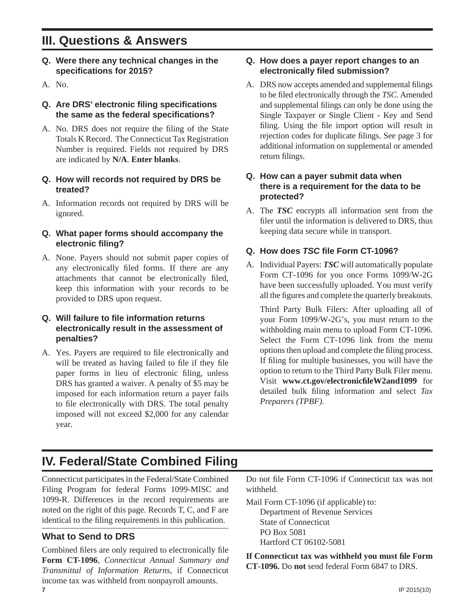### **III. Questions & Answers**

- **Q. Were there any technical changes in the specifi cations for 2015?**
- A. No.

### **Q. Are DRS' electronic fi ling specifi cations the same as the federal specifi cations?**

- A. No. DRS does not require the filing of the State Totals K Record. The Connecticut Tax Registration Number is required. Fields not required by DRS are indicated by **N/A**. **Enter blanks**.
- **Q. How will records not required by DRS be treated?**
- A. Information records not required by DRS will be ignored.

#### **Q. What paper forms should accompany the electronic fi ling?**

A. None. Payers should not submit paper copies of any electronically filed forms. If there are any attachments that cannot be electronically filed, keep this information with your records to be provided to DRS upon request.

#### **Q. Will failure to file information returns electronically result in the assessment of penalties?**

A. Yes. Payers are required to file electronically and will be treated as having failed to file if they file paper forms in lieu of electronic filing, unless DRS has granted a waiver. A penalty of \$5 may be imposed for each information return a payer fails to file electronically with DRS. The total penalty imposed will not exceed \$2,000 for any calendar year.

### **Q. How does a payer report changes to an electronically fi led submission?**

A. DRS now accepts amended and supplemental filings to be fi led electronically through the *TSC*. Amended and supplemental filings can only be done using the Single Taxpayer or Single Client - Key and Send filing. Using the file import option will result in rejection codes for duplicate filings. See page 3 for additional information on supplemental or amended return filings.

### **Q. How can a payer submit data when there is a requirement for the data to be protected?**

A. The *TSC* encrypts all information sent from the filer until the information is delivered to DRS, thus keeping data secure while in transport.

### **Q. How does** *TSC* **fi le Form CT-1096?**

A. Individual Payers: *TSC* will automatically populate Form CT-1096 for you once Forms 1099/W-2G have been successfully uploaded. You must verify all the figures and complete the quarterly breakouts.

 Third Party Bulk Filers: After uploading all of your Form 1099/W-2G's, you must return to the withholding main menu to upload Form CT-1096. Select the Form CT-1096 link from the menu options then upload and complete the filing process. If filing for multiple businesses, you will have the option to return to the Third Party Bulk Filer menu. Visit **www.ct.gov/electronicfi leW2and1099** for detailed bulk filing information and select *Tax Preparers (TPBF)*.

### **IV. Federal/State Combined Filing**

Connecticut participates in the Federal/State Combined Filing Program for federal Forms 1099-MISC and 1099-R. Differences in the record requirements are noted on the right of this page. Records T, C, and F are identical to the filing requirements in this publication.

### **What to Send to DRS**

**7** IP 2015(10) Combined filers are only required to electronically file **Form CT-1096**, *Connecticut Annual Summary and Transmittal of Information Returns*, if Connecticut income tax was withheld from nonpayroll amounts.

Do not file Form CT-1096 if Connecticut tax was not withheld.

Mail Form CT-1096 (if applicable) to: Department of Revenue Services State of Connecticut PO Box 5081 Hartford CT 06102-5081

If Connecticut tax was withheld you must file Form **CT-1096.** Do **not** send federal Form 6847 to DRS.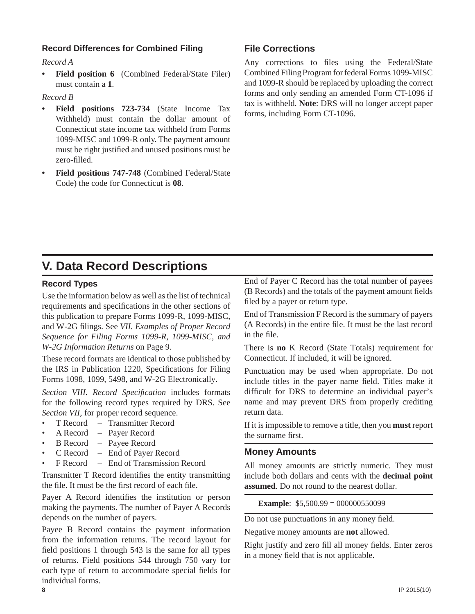### **Record Differences for Combined Filing**

*Record A*

**Field position 6** (Combined Federal/State Filer) must contain a **1**.

#### *Record B*

- **Field positions 723-734** (State Income Tax Withheld) must contain the dollar amount of Connecticut state income tax withheld from Forms 1099-MISC and 1099-R only. The payment amount must be right justified and unused positions must be zero-filled.
- **Field positions 747-748** (Combined Federal/State Code) the code for Connecticut is **08**.

### **File Corrections**

Any corrections to files using the Federal/State Combined Filing Program for federal Forms 1099-MISC and 1099-R should be replaced by uploading the correct forms and only sending an amended Form CT-1096 if tax is withheld. **Note**: DRS will no longer accept paper forms, including Form CT-1096.

### **V. Data Record Descriptions**

#### **Record Types**

Use the information below as well as the list of technical requirements and specifications in the other sections of this publication to prepare Forms 1099-R, 1099-MISC, and W-2G filings. See *VII. Examples of Proper Record Sequence for Filing Forms 1099-R, 1099-MISC, and W-2G Information Returns* on Page 9.

These record formats are identical to those published by the IRS in Publication 1220, Specifications for Filing Forms 1098, 1099, 5498, and W-2G Electronically.

Section VIII. Record Specification includes formats for the following record types required by DRS. See *Section VII,* for proper record sequence.

- T Record Transmitter Record
- A Record Payer Record
- B Record Payee Record
- C Record End of Payer Record
- F Record End of Transmission Record

Transmitter T Record identifies the entity transmitting the file. It must be the first record of each file.

Payer A Record identifies the institution or person making the payments. The number of Payer A Records depends on the number of payers.

Payee B Record contains the payment information from the information returns. The record layout for field positions 1 through 543 is the same for all types of returns. Field positions 544 through 750 vary for each type of return to accommodate special fields for individual forms.

End of Payer C Record has the total number of payees (B Records) and the totals of the payment amount fields filed by a payer or return type.

End of Transmission F Record is the summary of payers (A Records) in the entire file. It must be the last record in the file.

There is **no** K Record (State Totals) requirement for Connecticut. If included, it will be ignored.

Punctuation may be used when appropriate. Do not include titles in the payer name field. Titles make it difficult for DRS to determine an individual payer's name and may prevent DRS from properly crediting return data.

If it is impossible to remove a title, then you **must** report the surname first.

#### **Money Amounts**

All money amounts are strictly numeric. They must include both dollars and cents with the **decimal point assumed**. Do not round to the nearest dollar.

**Example**: \$5,500.99 = 000000550099

Do not use punctuations in any money field.

Negative money amounts are **not** allowed.

Right justify and zero fill all money fields. Enter zeros in a money field that is not applicable.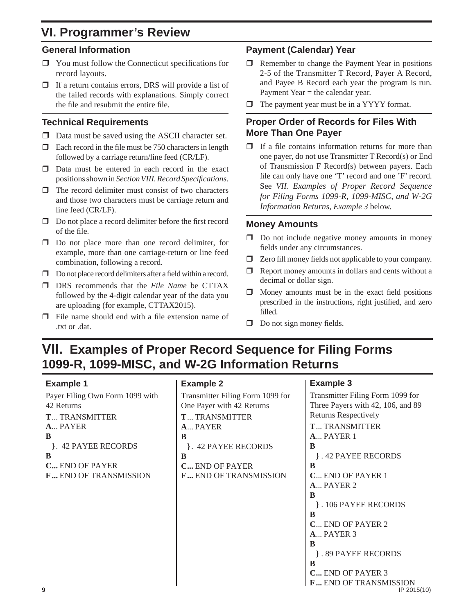### **VI. Programmer's Review**

### **General Information**

- $\Box$  You must follow the Connecticut specifications for record layouts.
- $\Box$  If a return contains errors, DRS will provide a list of the failed records with explanations. Simply correct the file and resubmit the entire file.

### **Technical Requirements**

- $\Box$  Data must be saved using the ASCII character set.
- $\Box$  Each record in the file must be 750 characters in length followed by a carriage return/line feed (CR/LF).
- $\Box$  Data must be entered in each record in the exact positions shown in *Section VIII. Record Specifi cations*.
- $\Box$  The record delimiter must consist of two characters and those two characters must be carriage return and line feed (CR/LF).
- $\Box$  Do not place a record delimiter before the first record of the file.
- □ Do not place more than one record delimiter, for example, more than one carriage-return or line feed combination, following a record.
- $\Box$  Do not place record delimiters after a field within a record.
- DRS recommends that the *File Name* be CTTAX followed by the 4-digit calendar year of the data you are uploading (for example, CTTAX2015).
- $\Box$  File name should end with a file extension name of .txt or .dat.

### **Payment (Calendar) Year**

- $\Box$  Remember to change the Payment Year in positions 2-5 of the Transmitter T Record, Payer A Record, and Payee B Record each year the program is run. Payment Year = the calendar year.
- $\Box$  The payment year must be in a YYYY format.

### **Proper Order of Records for Files With More Than One Payer**

 $\Box$  If a file contains information returns for more than one payer, do not use Transmitter T Record(s) or End of Transmission F Record(s) between payers. Each file can only have one 'T' record and one 'F' record. See *VII. Examples of Proper Record Sequence for Filing Forms 1099-R, 1099-MISC, and W-2G Information Returns, Example 3* below.

### **Money Amounts**

- $\Box$  Do not include negative money amounts in money fields under any circumstances.
- $\Box$  Zero fill money fields not applicable to your company.
- $\Box$  Report money amounts in dollars and cents without a decimal or dollar sign.
- $\Box$  Money amounts must be in the exact field positions prescribed in the instructions, right justified, and zero fi lled.
- $\Box$  Do not sign money fields.

### **VII. Examples of Proper Record Sequence for Filing Forms 1099-R, 1099-MISC, and W-2G Information Returns**

### **Example 1**

Payer Filing Own Form 1099 with 42 Returns **T** ... TRANSMITTER **A** ... PAYER **B }** . 42 PAYEE RECORDS **B C ...** END OF PAYER **F ...** END OF TRANSMISSION

### **Example 2**



### **Example 3**

**9** IP 2015(10) Transmitter Filing Form 1099 for Three Payers with 42, 106, and 89 Returns Respectively **T** ... TRANSMITTER **A** ... PAYER 1 **B }** . 42 PAYEE RECORDS **B C** ... END OF PAYER 1 **A** ... PAYER 2 **B }** . 106 PAYEE RECORDS **B C** ... END OF PAYER 2 **A** ... PAYER 3 **B }** . 89 PAYEE RECORDS **B C ...** END OF PAYER 3 **F**... END OF TRANSMISSION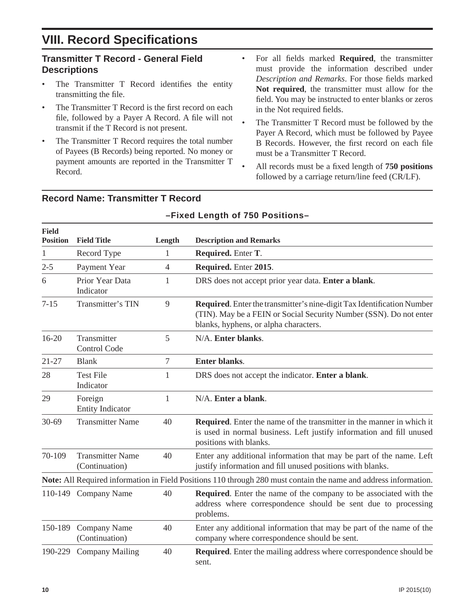### **VIII. Record Specifications**

### **Transmitter T Record - General Field Descriptions**

- The Transmitter T Record identifies the entity transmitting the file.
- The Transmitter T Record is the first record on each file, followed by a Payer A Record. A file will not transmit if the T Record is not present.
- The Transmitter T Record requires the total number of Payees (B Records) being reported. No money or payment amounts are reported in the Transmitter T Record.
- For all fields marked **Required**, the transmitter must provide the information described under **Description and Remarks. For those fields marked Not required**, the transmitter must allow for the field. You may be instructed to enter blanks or zeros in the Not required fields.
- The Transmitter T Record must be followed by the Payer A Record, which must be followed by Payee B Records. However, the first record on each file must be a Transmitter T Record.
- All records must be a fixed length of **750 positions** followed by a carriage return/line feed (CR/LF).

| <b>Field</b><br><b>Position</b> | <b>Field Title</b>                        | Length         | <b>Description and Remarks</b>                                                                                                                                                        |  |
|---------------------------------|-------------------------------------------|----------------|---------------------------------------------------------------------------------------------------------------------------------------------------------------------------------------|--|
| $\mathbf{1}$                    | Record Type                               | $\mathbf{1}$   | Required. Enter T.                                                                                                                                                                    |  |
| $2 - 5$                         | Payment Year                              | $\overline{4}$ | Required. Enter 2015.                                                                                                                                                                 |  |
| 6                               | Prior Year Data<br>Indicator              | $\mathbf{1}$   | DRS does not accept prior year data. Enter a blank.                                                                                                                                   |  |
| $7 - 15$                        | Transmitter's TIN                         | 9              | Required. Enter the transmitter's nine-digit Tax Identification Number<br>(TIN). May be a FEIN or Social Security Number (SSN). Do not enter<br>blanks, hyphens, or alpha characters. |  |
| $16 - 20$                       | Transmitter<br><b>Control Code</b>        | 5              | N/A. Enter blanks.                                                                                                                                                                    |  |
| $21 - 27$                       | <b>Blank</b>                              | $\tau$         | Enter blanks.                                                                                                                                                                         |  |
| 28                              | <b>Test File</b><br>Indicator             | 1              | DRS does not accept the indicator. Enter a blank.                                                                                                                                     |  |
| 29                              | Foreign<br><b>Entity Indicator</b>        | $\mathbf{1}$   | N/A. Enter a blank.                                                                                                                                                                   |  |
| $30 - 69$                       | <b>Transmitter Name</b>                   | 40             | <b>Required.</b> Enter the name of the transmitter in the manner in which it<br>is used in normal business. Left justify information and fill unused<br>positions with blanks.        |  |
| 70-109                          | <b>Transmitter Name</b><br>(Continuation) | 40             | Enter any additional information that may be part of the name. Left<br>justify information and fill unused positions with blanks.                                                     |  |
|                                 |                                           |                | Note: All Required information in Field Positions 110 through 280 must contain the name and address information.                                                                      |  |
|                                 | 110-149 Company Name                      | 40             | Required. Enter the name of the company to be associated with the<br>address where correspondence should be sent due to processing<br>problems.                                       |  |
| 150-189                         | Company Name<br>(Continuation)            | 40             | Enter any additional information that may be part of the name of the<br>company where correspondence should be sent.                                                                  |  |
| 190-229                         | <b>Company Mailing</b>                    | 40             | Required. Enter the mailing address where correspondence should be<br>sent.                                                                                                           |  |

**–Fixed Length of 750 Positions–**

### **Record Name: Transmitter T Record**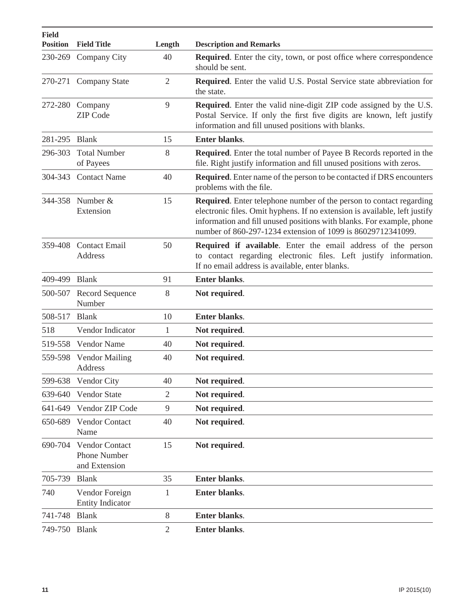| <b>Field</b><br><b>Position</b> | <b>Field Title</b>                                     | Length         | <b>Description and Remarks</b>                                                                                                                                                                                                                                                            |  |  |
|---------------------------------|--------------------------------------------------------|----------------|-------------------------------------------------------------------------------------------------------------------------------------------------------------------------------------------------------------------------------------------------------------------------------------------|--|--|
| 230-269                         | Company City                                           | 40             | Required. Enter the city, town, or post office where correspondence<br>should be sent.                                                                                                                                                                                                    |  |  |
|                                 | 270-271 Company State                                  | $\overline{2}$ | Required. Enter the valid U.S. Postal Service state abbreviation for<br>the state.                                                                                                                                                                                                        |  |  |
| 272-280                         | Company<br><b>ZIP</b> Code                             | 9              | <b>Required.</b> Enter the valid nine-digit ZIP code assigned by the U.S.<br>Postal Service. If only the first five digits are known, left justify<br>information and fill unused positions with blanks.                                                                                  |  |  |
| 281-295 Blank                   |                                                        | 15             | Enter blanks.                                                                                                                                                                                                                                                                             |  |  |
| 296-303                         | <b>Total Number</b><br>of Payees                       | 8              | Required. Enter the total number of Payee B Records reported in the<br>file. Right justify information and fill unused positions with zeros.                                                                                                                                              |  |  |
| 304-343                         | <b>Contact Name</b>                                    | 40             | <b>Required.</b> Enter name of the person to be contacted if DRS encounters<br>problems with the file.                                                                                                                                                                                    |  |  |
|                                 | 344-358 Number &<br>Extension                          | 15             | Required. Enter telephone number of the person to contact regarding<br>electronic files. Omit hyphens. If no extension is available, left justify<br>information and fill unused positions with blanks. For example, phone<br>number of 860-297-1234 extension of 1099 is 86029712341099. |  |  |
| 359-408                         | <b>Contact Email</b><br><b>Address</b>                 | 50             | <b>Required if available.</b> Enter the email address of the person<br>to contact regarding electronic files. Left justify information.<br>If no email address is available, enter blanks.                                                                                                |  |  |
| 409-499                         | <b>Blank</b>                                           | 91             | Enter blanks.                                                                                                                                                                                                                                                                             |  |  |
|                                 | 500-507 Record Sequence<br>Number                      | 8              | Not required.                                                                                                                                                                                                                                                                             |  |  |
| 508-517                         | <b>Blank</b>                                           | 10             | Enter blanks.                                                                                                                                                                                                                                                                             |  |  |
| 518                             | Vendor Indicator                                       | $\mathbf{1}$   | Not required.                                                                                                                                                                                                                                                                             |  |  |
| 519-558                         | Vendor Name                                            | 40             | Not required.                                                                                                                                                                                                                                                                             |  |  |
| 559-598                         | <b>Vendor Mailing</b><br>Address                       | 40             | Not required.                                                                                                                                                                                                                                                                             |  |  |
| 599-638                         | <b>Vendor City</b>                                     | 40             | Not required.                                                                                                                                                                                                                                                                             |  |  |
| 639-640                         | Vendor State                                           | $\overline{2}$ | Not required.                                                                                                                                                                                                                                                                             |  |  |
| 641-649                         | Vendor ZIP Code                                        | 9              | Not required.                                                                                                                                                                                                                                                                             |  |  |
| 650-689                         | Vendor Contact<br>Name                                 | 40             | Not required.                                                                                                                                                                                                                                                                             |  |  |
| 690-704                         | Vendor Contact<br><b>Phone Number</b><br>and Extension | 15             | Not required.                                                                                                                                                                                                                                                                             |  |  |
| 705-739                         | <b>Blank</b>                                           | 35             | Enter blanks.                                                                                                                                                                                                                                                                             |  |  |
| 740                             | Vendor Foreign<br><b>Entity Indicator</b>              | 1              | Enter blanks.                                                                                                                                                                                                                                                                             |  |  |
| 741-748                         | <b>Blank</b>                                           | 8              | Enter blanks.                                                                                                                                                                                                                                                                             |  |  |
| 749-750 Blank                   |                                                        | $\overline{2}$ | Enter blanks.                                                                                                                                                                                                                                                                             |  |  |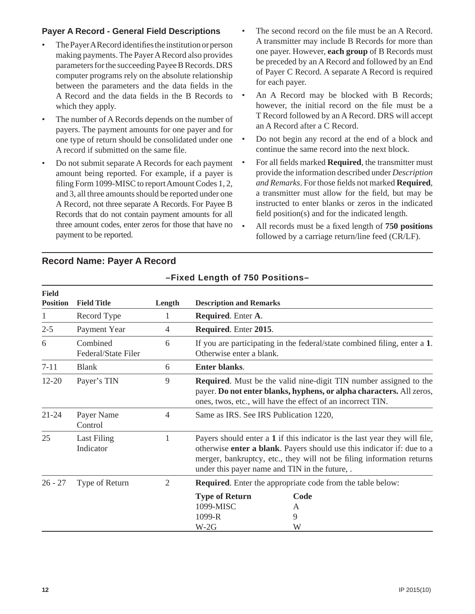### **Payer A Record - General Field Descriptions**

- The Payer A Record identifies the institution or person making payments. The Payer A Record also provides parameters for the succeeding Payee B Records. DRS computer programs rely on the absolute relationship between the parameters and the data fields in the A Record and the data fields in the B Records to which they apply.
- The number of A Records depends on the number of payers. The payment amounts for one payer and for one type of return should be consolidated under one A record if submitted on the same file.
- Do not submit separate A Records for each payment amount being reported. For example, if a payer is filing Form 1099-MISC to report Amount Codes 1, 2, and 3, all three amounts should be reported under one A Record, not three separate A Records. For Payee B Records that do not contain payment amounts for all three amount codes, enter zeros for those that have no  $\bullet$ payment to be reported.
- The second record on the file must be an A Record. A transmitter may include B Records for more than one payer. However, **each group** of B Records must be preceded by an A Record and followed by an End of Payer C Record. A separate A Record is required for each payer.
- An A Record may be blocked with B Records; however, the initial record on the file must be a T Record followed by an A Record. DRS will accept an A Record after a C Record.
- Do not begin any record at the end of a block and continue the same record into the next block.
- For all fields marked **Required**, the transmitter must provide the information described under *Description and Remarks*. For those fields not marked **Required**, a transmitter must allow for the field, but may be instructed to enter blanks or zeros in the indicated field position(s) and for the indicated length.
- All records must be a fixed length of **750 positions** followed by a carriage return/line feed (CR/LF).

| <b>Field</b><br><b>Position</b> | <b>Field Title</b>              | Length | <b>Description and Remarks</b>                                                                                                                                                                                                                                                          |                                                                           |
|---------------------------------|---------------------------------|--------|-----------------------------------------------------------------------------------------------------------------------------------------------------------------------------------------------------------------------------------------------------------------------------------------|---------------------------------------------------------------------------|
| 1                               | Record Type                     |        | Required. Enter A.                                                                                                                                                                                                                                                                      |                                                                           |
| $2 - 5$                         | Payment Year                    | 4      | Required. Enter 2015.                                                                                                                                                                                                                                                                   |                                                                           |
| 6                               | Combined<br>Federal/State Filer | 6      | Otherwise enter a blank.                                                                                                                                                                                                                                                                | If you are participating in the federal/state combined filing, enter a 1. |
| $7 - 11$                        | <b>Blank</b>                    | 6      | <b>Enter blanks.</b>                                                                                                                                                                                                                                                                    |                                                                           |
| $12 - 20$                       | Payer's TIN                     | 9      | <b>Required.</b> Must be the valid nine-digit TIN number assigned to the<br>payer. Do not enter blanks, hyphens, or alpha characters. All zeros,<br>ones, twos, etc., will have the effect of an incorrect TIN.                                                                         |                                                                           |
| 21-24                           | Payer Name<br>Control           | 4      | Same as IRS. See IRS Publication 1220,                                                                                                                                                                                                                                                  |                                                                           |
| 25                              | Last Filing<br>Indicator        |        | Payers should enter a 1 if this indicator is the last year they will file,<br>otherwise <b>enter a blank</b> . Payers should use this indicator if: due to a<br>merger, bankruptcy, etc., they will not be filing information returns<br>under this payer name and TIN in the future, . |                                                                           |
| $26 - 27$                       | Type of Return                  | 2      | <b>Required.</b> Enter the appropriate code from the table below:                                                                                                                                                                                                                       |                                                                           |
|                                 |                                 |        | <b>Type of Return</b><br>Code<br>1099-MISC<br>A<br>1099-R<br>9<br>$W-2G$<br>W                                                                                                                                                                                                           |                                                                           |

**–Fixed Length of 750 Positions–**

### **Record Name: Payer A Record**

#### **12** IP 2015(10)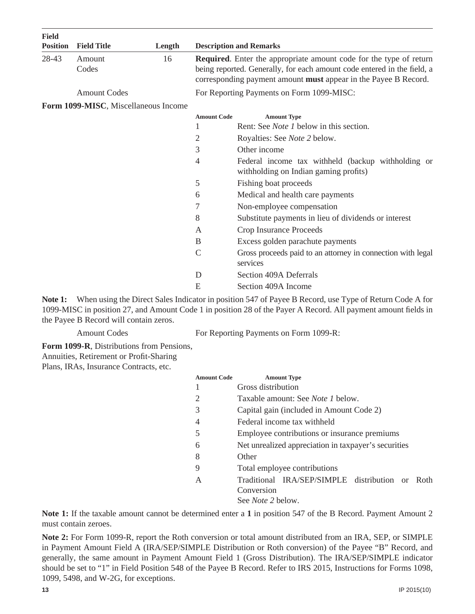| <b>Field</b><br><b>Position</b> | <b>Field Title</b>                   | Length |                                                                                                                                                                                                                                | <b>Description and Remarks</b>                                                              |  |
|---------------------------------|--------------------------------------|--------|--------------------------------------------------------------------------------------------------------------------------------------------------------------------------------------------------------------------------------|---------------------------------------------------------------------------------------------|--|
| 28-43                           | Amount<br>Codes                      | 16     | <b>Required.</b> Enter the appropriate amount code for the type of return<br>being reported. Generally, for each amount code entered in the field, a<br>corresponding payment amount <b>must</b> appear in the Payee B Record. |                                                                                             |  |
|                                 | <b>Amount Codes</b>                  |        |                                                                                                                                                                                                                                | For Reporting Payments on Form 1099-MISC:                                                   |  |
|                                 | Form 1099-MISC, Miscellaneous Income |        |                                                                                                                                                                                                                                |                                                                                             |  |
|                                 |                                      |        | <b>Amount Code</b>                                                                                                                                                                                                             | <b>Amount Type</b>                                                                          |  |
|                                 |                                      |        |                                                                                                                                                                                                                                | Rent: See <i>Note 1</i> below in this section.                                              |  |
|                                 |                                      |        | 2                                                                                                                                                                                                                              | Royalties: See Note 2 below.                                                                |  |
|                                 |                                      |        | 3                                                                                                                                                                                                                              | Other income                                                                                |  |
|                                 |                                      |        | 4                                                                                                                                                                                                                              | Federal income tax withheld (backup withholding or<br>withholding on Indian gaming profits) |  |
|                                 |                                      |        | 5                                                                                                                                                                                                                              | Fishing boat proceeds                                                                       |  |
|                                 |                                      |        | 6                                                                                                                                                                                                                              | Medical and health care payments                                                            |  |
|                                 |                                      |        | 7                                                                                                                                                                                                                              | Non-employee compensation                                                                   |  |
|                                 |                                      |        | 8                                                                                                                                                                                                                              | Substitute payments in lieu of dividends or interest                                        |  |
|                                 |                                      |        | A                                                                                                                                                                                                                              | Crop Insurance Proceeds                                                                     |  |
|                                 |                                      |        | B                                                                                                                                                                                                                              | Excess golden parachute payments                                                            |  |
|                                 |                                      |        | $\mathcal{C}$                                                                                                                                                                                                                  | Gross proceeds paid to an attorney in connection with legal<br>services                     |  |
|                                 |                                      |        | D                                                                                                                                                                                                                              | Section 409A Deferrals                                                                      |  |
|                                 |                                      |        | E                                                                                                                                                                                                                              | Section 409A Income                                                                         |  |

**Note 1:** When using the Direct Sales Indicator in position 547 of Payee B Record, use Type of Return Code A for 1099-MISC in position 27, and Amount Code 1 in position 28 of the Payer A Record. All payment amount fields in the Payee B Record will contain zeros.

Amount Codes For Reporting Payments on Form 1099-R:

**Form 1099-R**, Distributions from Pensions, Annuities, Retirement or Profit-Sharing

Plans, IRAs, Insurance Contracts, etc.

| <b>Amount Code</b> | <b>Amount Type</b>                                   |  |
|--------------------|------------------------------------------------------|--|
|                    | Gross distribution                                   |  |
| 2                  | Taxable amount: See <i>Note 1</i> below.             |  |
| 3                  | Capital gain (included in Amount Code 2)             |  |
| 4                  | Federal income tax withheld                          |  |
| 5                  | Employee contributions or insurance premiums         |  |
| 6                  | Net unrealized appreciation in taxpayer's securities |  |
| 8                  | Other                                                |  |
| 9                  | Total employee contributions                         |  |
| A                  | Traditional IRA/SEP/SIMPLE distribution or<br>Roth   |  |
|                    | Conversion                                           |  |
|                    | See <i>Note</i> 2 below.                             |  |

**Note 1:** If the taxable amount cannot be determined enter a **1** in position 547 of the B Record. Payment Amount 2 must contain zeroes.

**Note 2:** For Form 1099-R, report the Roth conversion or total amount distributed from an IRA, SEP, or SIMPLE in Payment Amount Field A (IRA/SEP/SIMPLE Distribution or Roth conversion) of the Payee "B" Record, and generally, the same amount in Payment Amount Field 1 (Gross Distribution). The IRA/SEP/SIMPLE indicator should be set to "1" in Field Position 548 of the Payee B Record. Refer to IRS 2015, Instructions for Forms 1098, 1099, 5498, and W-2G, for exceptions.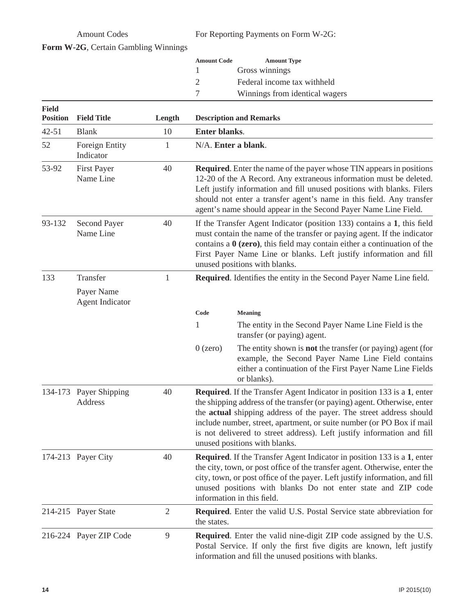Amount Codes For Reporting Payments on Form W-2G:

| Form W-2G, Certain Gambling Winnings |  |
|--------------------------------------|--|
|--------------------------------------|--|

| <b>Amount Code</b> | <b>Amount Type</b>             |
|--------------------|--------------------------------|
|                    | Gross winnings                 |
|                    | Federal income tax withheld    |
|                    | Winnings from identical wagers |

| <b>Field</b><br><b>Position</b> | <b>Field Title</b>              | Length         | <b>Description and Remarks</b>                                                                                                                                                                                                                                                                                                                                                                                        |  |  |
|---------------------------------|---------------------------------|----------------|-----------------------------------------------------------------------------------------------------------------------------------------------------------------------------------------------------------------------------------------------------------------------------------------------------------------------------------------------------------------------------------------------------------------------|--|--|
| $42 - 51$                       | <b>Blank</b>                    | 10             | <b>Enter blanks.</b>                                                                                                                                                                                                                                                                                                                                                                                                  |  |  |
| 52                              | Foreign Entity<br>Indicator     | $\mathbf{1}$   | N/A. Enter a blank.                                                                                                                                                                                                                                                                                                                                                                                                   |  |  |
| 53-92                           | <b>First Payer</b><br>Name Line | 40             | <b>Required.</b> Enter the name of the payer whose TIN appears in positions<br>12-20 of the A Record. Any extraneous information must be deleted.<br>Left justify information and fill unused positions with blanks. Filers<br>should not enter a transfer agent's name in this field. Any transfer<br>agent's name should appear in the Second Payer Name Line Field.                                                |  |  |
| 93-132                          | Second Payer<br>Name Line       | 40             | If the Transfer Agent Indicator (position 133) contains a 1, this field<br>must contain the name of the transfer or paying agent. If the indicator<br>contains a $0$ (zero), this field may contain either a continuation of the<br>First Payer Name Line or blanks. Left justify information and fill<br>unused positions with blanks.                                                                               |  |  |
| 133                             | Transfer                        | $\mathbf{1}$   | Required. Identifies the entity in the Second Payer Name Line field.                                                                                                                                                                                                                                                                                                                                                  |  |  |
|                                 | Payer Name<br>Agent Indicator   |                |                                                                                                                                                                                                                                                                                                                                                                                                                       |  |  |
|                                 |                                 |                | Code<br><b>Meaning</b>                                                                                                                                                                                                                                                                                                                                                                                                |  |  |
|                                 |                                 |                | $\mathbf{1}$<br>The entity in the Second Payer Name Line Field is the<br>transfer (or paying) agent.                                                                                                                                                                                                                                                                                                                  |  |  |
|                                 |                                 |                | $0$ (zero)<br>The entity shown is <b>not</b> the transfer (or paying) agent (for<br>example, the Second Payer Name Line Field contains<br>either a continuation of the First Payer Name Line Fields<br>or blanks).                                                                                                                                                                                                    |  |  |
| 134-173                         | Payer Shipping<br>Address       | 40             | <b>Required.</b> If the Transfer Agent Indicator in position 133 is a 1, enter<br>the shipping address of the transfer (or paying) agent. Otherwise, enter<br>the actual shipping address of the payer. The street address should<br>include number, street, apartment, or suite number (or PO Box if mail<br>is not delivered to street address). Left justify information and fill<br>unused positions with blanks. |  |  |
|                                 | 174-213 Payer City              | 40             | <b>Required.</b> If the Transfer Agent Indicator in position 133 is a 1, enter<br>the city, town, or post office of the transfer agent. Otherwise, enter the<br>city, town, or post office of the payer. Left justify information, and fill<br>unused positions with blanks Do not enter state and ZIP code<br>information in this field.                                                                             |  |  |
|                                 | 214-215 Payer State             | $\overline{2}$ | <b>Required.</b> Enter the valid U.S. Postal Service state abbreviation for<br>the states.                                                                                                                                                                                                                                                                                                                            |  |  |
|                                 | 216-224 Payer ZIP Code          | $\overline{9}$ | <b>Required.</b> Enter the valid nine-digit ZIP code assigned by the U.S.<br>Postal Service. If only the first five digits are known, left justify<br>information and fill the unused positions with blanks.                                                                                                                                                                                                          |  |  |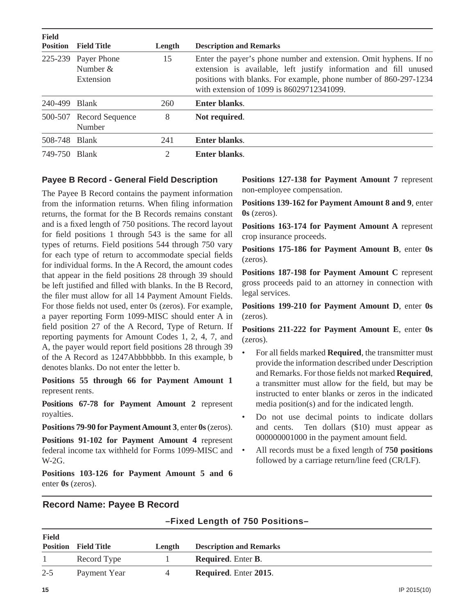| <b>Field</b>  | <b>Position</b> Field Title                    | Length | <b>Description and Remarks</b>                                                                                                                                                                                                                         |  |
|---------------|------------------------------------------------|--------|--------------------------------------------------------------------------------------------------------------------------------------------------------------------------------------------------------------------------------------------------------|--|
|               | 225-239 Payer Phone<br>Number $&$<br>Extension | 15     | Enter the payer's phone number and extension. Omit hyphens. If no<br>extension is available, left justify information and fill unused<br>positions with blanks. For example, phone number of 860-297-1234<br>with extension of 1099 is 86029712341099. |  |
| 240-499 Blank |                                                | 260    | Enter blanks.                                                                                                                                                                                                                                          |  |
|               | 500-507 Record Sequence<br>Number              | 8      | Not required.                                                                                                                                                                                                                                          |  |
| 508-748 Blank |                                                | 241    | Enter blanks.                                                                                                                                                                                                                                          |  |
| 749-750 Blank |                                                | 2      | Enter blanks.                                                                                                                                                                                                                                          |  |

#### **Payee B Record - General Field Description**

The Payee B Record contains the payment information from the information returns. When filing information returns, the format for the B Records remains constant and is a fixed length of 750 positions. The record layout for field positions 1 through  $543$  is the same for all types of returns. Field positions 544 through 750 vary for each type of return to accommodate special fields for individual forms. In the A Record, the amount codes that appear in the field positions 28 through 39 should be left justified and filled with blanks. In the B Record, the filer must allow for all 14 Payment Amount Fields. For those fields not used, enter 0s (zeros). For example, a payer reporting Form 1099-MISC should enter A in field position 27 of the A Record, Type of Return. If reporting payments for Amount Codes 1, 2, 4, 7, and A, the payer would report field positions 28 through 39 of the A Record as 1247Abbbbbbb. In this example, b denotes blanks. Do not enter the letter b.

**Positions 55 through 66 for Payment Amount 1** represent rents.

**Positions 67-78 for Payment Amount 2** represent royalties.

**Positions 79-90 for Payment Amount 3**, enter **0s** (zeros).

**Positions 91-102 for Payment Amount 4** represent federal income tax withheld for Forms 1099-MISC and W-2G.

**Positions 103-126 for Payment Amount 5 and 6** enter **0s** (zeros).

**Positions 127-138 for Payment Amount 7** represent non-employee compensation.

**Positions 139-162 for Payment Amount 8 and 9**, enter **0s** (zeros).

**Positions 163-174 for Payment Amount A** represent crop insurance proceeds.

**Positions 175-186 for Payment Amount B**, enter **0s** (zeros).

**Positions 187-198 for Payment Amount C** represent gross proceeds paid to an attorney in connection with legal services.

**Positions 199-210 for Payment Amount D**, enter **0s** (zeros).

**Positions 211-222 for Payment Amount E**, enter **0s** (zeros).

- For all fields marked **Required**, the transmitter must provide the information described under Description and Remarks. For those fields not marked **Required**, a transmitter must allow for the field, but may be instructed to enter blanks or zeros in the indicated media position(s) and for the indicated length.
- Do not use decimal points to indicate dollars and cents. Ten dollars (\$10) must appear as  $0000000001000$  in the payment amount field.
- All records must be a fixed length of **750 positions** followed by a carriage return/line feed (CR/LF).

### **Record Name: Payee B Record**

|  |  |  | -Fixed Length of 750 Positions- |
|--|--|--|---------------------------------|
|--|--|--|---------------------------------|

| <b>Field</b> | <b>Position</b> Field Title | Length | <b>Description and Remarks</b>    |
|--------------|-----------------------------|--------|-----------------------------------|
|              | Record Type                 |        | <b>Required.</b> Enter <b>B</b> . |
| $2 - 5$      | Payment Year                | 4      | <b>Required.</b> Enter 2015.      |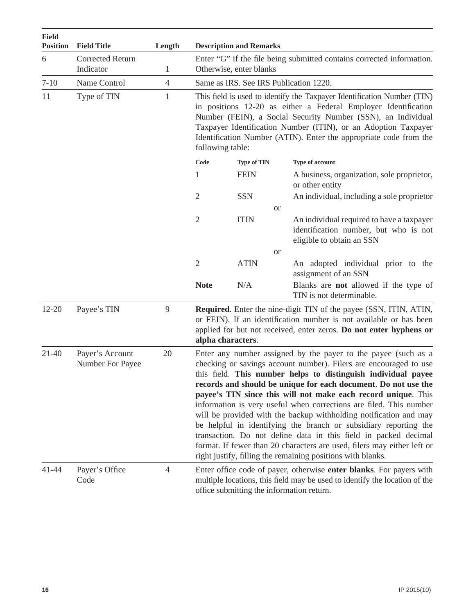| <b>Field</b><br><b>Position</b> | <b>Field Title</b>                  | Length         |                  | <b>Description and Remarks</b> |                                                                                                                                                                                                                                                                                                                                                                                                                                                                                                                                                                                                                                                                                                                                                                     |
|---------------------------------|-------------------------------------|----------------|------------------|--------------------------------|---------------------------------------------------------------------------------------------------------------------------------------------------------------------------------------------------------------------------------------------------------------------------------------------------------------------------------------------------------------------------------------------------------------------------------------------------------------------------------------------------------------------------------------------------------------------------------------------------------------------------------------------------------------------------------------------------------------------------------------------------------------------|
| 6                               | <b>Corrected Return</b>             |                |                  |                                | Enter "G" if the file being submitted contains corrected information.                                                                                                                                                                                                                                                                                                                                                                                                                                                                                                                                                                                                                                                                                               |
|                                 | Indicator                           | $\mathbf{1}$   |                  | Otherwise, enter blanks        |                                                                                                                                                                                                                                                                                                                                                                                                                                                                                                                                                                                                                                                                                                                                                                     |
| $7 - 10$                        | Name Control                        | $\overline{4}$ |                  |                                | Same as IRS. See IRS Publication 1220.                                                                                                                                                                                                                                                                                                                                                                                                                                                                                                                                                                                                                                                                                                                              |
| 11                              | Type of TIN                         | $\mathbf{1}$   | following table: |                                | This field is used to identify the Taxpayer Identification Number (TIN)<br>in positions 12-20 as either a Federal Employer Identification<br>Number (FEIN), a Social Security Number (SSN), an Individual<br>Taxpayer Identification Number (ITIN), or an Adoption Taxpayer<br>Identification Number (ATIN). Enter the appropriate code from the                                                                                                                                                                                                                                                                                                                                                                                                                    |
|                                 |                                     |                | Code             | <b>Type of TIN</b>             | Type of account                                                                                                                                                                                                                                                                                                                                                                                                                                                                                                                                                                                                                                                                                                                                                     |
|                                 |                                     |                | 1                | <b>FEIN</b>                    | A business, organization, sole proprietor,<br>or other entity                                                                                                                                                                                                                                                                                                                                                                                                                                                                                                                                                                                                                                                                                                       |
|                                 |                                     |                | 2                | <b>SSN</b>                     | An individual, including a sole proprietor                                                                                                                                                                                                                                                                                                                                                                                                                                                                                                                                                                                                                                                                                                                          |
|                                 |                                     |                |                  |                                | <sub>or</sub>                                                                                                                                                                                                                                                                                                                                                                                                                                                                                                                                                                                                                                                                                                                                                       |
|                                 |                                     |                | $\overline{2}$   | <b>ITIN</b>                    | An individual required to have a taxpayer<br>identification number, but who is not<br>eligible to obtain an SSN                                                                                                                                                                                                                                                                                                                                                                                                                                                                                                                                                                                                                                                     |
|                                 |                                     |                |                  |                                | <sub>or</sub>                                                                                                                                                                                                                                                                                                                                                                                                                                                                                                                                                                                                                                                                                                                                                       |
|                                 |                                     |                | $\overline{2}$   | <b>ATIN</b>                    | An adopted individual prior to the<br>assignment of an SSN                                                                                                                                                                                                                                                                                                                                                                                                                                                                                                                                                                                                                                                                                                          |
|                                 |                                     |                | <b>Note</b>      | N/A                            | Blanks are <b>not</b> allowed if the type of<br>TIN is not determinable.                                                                                                                                                                                                                                                                                                                                                                                                                                                                                                                                                                                                                                                                                            |
| $12 - 20$                       | Payee's TIN                         | 9              |                  | alpha characters.              | <b>Required.</b> Enter the nine-digit TIN of the payee (SSN, ITIN, ATIN,<br>or FEIN). If an identification number is not available or has been<br>applied for but not received, enter zeros. Do not enter hyphens or                                                                                                                                                                                                                                                                                                                                                                                                                                                                                                                                                |
| 21-40                           | Payer's Account<br>Number For Payee | 20             |                  |                                | Enter any number assigned by the payer to the payee (such as a<br>checking or savings account number). Filers are encouraged to use<br>this field. This number helps to distinguish individual payee<br>records and should be unique for each document. Do not use the<br>payee's TIN since this will not make each record unique. This<br>information is very useful when corrections are filed. This number<br>will be provided with the backup withholding notification and may<br>be helpful in identifying the branch or subsidiary reporting the<br>transaction. Do not define data in this field in packed decimal<br>format. If fewer than 20 characters are used, filers may either left or<br>right justify, filling the remaining positions with blanks. |
| 41-44                           | Payer's Office<br>Code              | $\overline{4}$ |                  |                                | Enter office code of payer, otherwise enter blanks. For payers with<br>multiple locations, this field may be used to identify the location of the<br>office submitting the information return.                                                                                                                                                                                                                                                                                                                                                                                                                                                                                                                                                                      |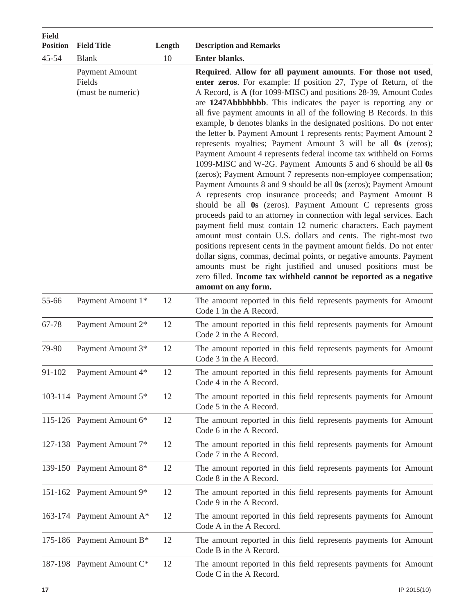| <b>Field</b><br><b>Position</b> | <b>Field Title</b>                                   | Length | <b>Description and Remarks</b>                                                                                                                                                                                                                                                                                                                                                                                                                                                                                                                                                                                                                                                                                                                                                                                                                                                                                                                                                                                                                                                                                                                                                                                                                                                                                                                                                                                                                                                                            |
|---------------------------------|------------------------------------------------------|--------|-----------------------------------------------------------------------------------------------------------------------------------------------------------------------------------------------------------------------------------------------------------------------------------------------------------------------------------------------------------------------------------------------------------------------------------------------------------------------------------------------------------------------------------------------------------------------------------------------------------------------------------------------------------------------------------------------------------------------------------------------------------------------------------------------------------------------------------------------------------------------------------------------------------------------------------------------------------------------------------------------------------------------------------------------------------------------------------------------------------------------------------------------------------------------------------------------------------------------------------------------------------------------------------------------------------------------------------------------------------------------------------------------------------------------------------------------------------------------------------------------------------|
| $45 - 54$                       | <b>Blank</b>                                         | 10     | Enter blanks.                                                                                                                                                                                                                                                                                                                                                                                                                                                                                                                                                                                                                                                                                                                                                                                                                                                                                                                                                                                                                                                                                                                                                                                                                                                                                                                                                                                                                                                                                             |
|                                 | <b>Payment Amount</b><br>Fields<br>(must be numeric) |        | Required. Allow for all payment amounts. For those not used,<br>enter zeros. For example: If position 27, Type of Return, of the<br>A Record, is A (for 1099-MISC) and positions 28-39, Amount Codes<br>are 1247Abbbbbbbb. This indicates the payer is reporting any or<br>all five payment amounts in all of the following B Records. In this<br>example, <b>b</b> denotes blanks in the designated positions. Do not enter<br>the letter <b>b</b> . Payment Amount 1 represents rents; Payment Amount 2<br>represents royalties; Payment Amount 3 will be all 0s (zeros);<br>Payment Amount 4 represents federal income tax withheld on Forms<br>1099-MISC and W-2G. Payment Amounts 5 and 6 should be all 0s<br>(zeros); Payment Amount 7 represents non-employee compensation;<br>Payment Amounts 8 and 9 should be all 0s (zeros); Payment Amount<br>A represents crop insurance proceeds; and Payment Amount B<br>should be all 0s (zeros). Payment Amount C represents gross<br>proceeds paid to an attorney in connection with legal services. Each<br>payment field must contain 12 numeric characters. Each payment<br>amount must contain U.S. dollars and cents. The right-most two<br>positions represent cents in the payment amount fields. Do not enter<br>dollar signs, commas, decimal points, or negative amounts. Payment<br>amounts must be right justified and unused positions must be<br>zero filled. Income tax withheld cannot be reported as a negative<br>amount on any form. |
| 55-66                           | Payment Amount 1*                                    | 12     | The amount reported in this field represents payments for Amount<br>Code 1 in the A Record.                                                                                                                                                                                                                                                                                                                                                                                                                                                                                                                                                                                                                                                                                                                                                                                                                                                                                                                                                                                                                                                                                                                                                                                                                                                                                                                                                                                                               |
| 67-78                           | Payment Amount 2*                                    | 12     | The amount reported in this field represents payments for Amount<br>Code 2 in the A Record.                                                                                                                                                                                                                                                                                                                                                                                                                                                                                                                                                                                                                                                                                                                                                                                                                                                                                                                                                                                                                                                                                                                                                                                                                                                                                                                                                                                                               |
| 79-90                           | Payment Amount 3*                                    | 12     | The amount reported in this field represents payments for Amount<br>Code 3 in the A Record.                                                                                                                                                                                                                                                                                                                                                                                                                                                                                                                                                                                                                                                                                                                                                                                                                                                                                                                                                                                                                                                                                                                                                                                                                                                                                                                                                                                                               |
| 91-102                          | Payment Amount 4*                                    | 12     | The amount reported in this field represents payments for Amount<br>Code 4 in the A Record.                                                                                                                                                                                                                                                                                                                                                                                                                                                                                                                                                                                                                                                                                                                                                                                                                                                                                                                                                                                                                                                                                                                                                                                                                                                                                                                                                                                                               |
|                                 | 103-114 Payment Amount 5*                            | 12     | The amount reported in this field represents payments for Amount<br>Code 5 in the A Record.                                                                                                                                                                                                                                                                                                                                                                                                                                                                                                                                                                                                                                                                                                                                                                                                                                                                                                                                                                                                                                                                                                                                                                                                                                                                                                                                                                                                               |
|                                 | 115-126 Payment Amount 6*                            | 12     | The amount reported in this field represents payments for Amount<br>Code 6 in the A Record.                                                                                                                                                                                                                                                                                                                                                                                                                                                                                                                                                                                                                                                                                                                                                                                                                                                                                                                                                                                                                                                                                                                                                                                                                                                                                                                                                                                                               |
|                                 | 127-138 Payment Amount 7*                            | 12     | The amount reported in this field represents payments for Amount<br>Code 7 in the A Record.                                                                                                                                                                                                                                                                                                                                                                                                                                                                                                                                                                                                                                                                                                                                                                                                                                                                                                                                                                                                                                                                                                                                                                                                                                                                                                                                                                                                               |
|                                 | 139-150 Payment Amount 8*                            | 12     | The amount reported in this field represents payments for Amount<br>Code 8 in the A Record.                                                                                                                                                                                                                                                                                                                                                                                                                                                                                                                                                                                                                                                                                                                                                                                                                                                                                                                                                                                                                                                                                                                                                                                                                                                                                                                                                                                                               |
|                                 | 151-162 Payment Amount 9*                            | 12     | The amount reported in this field represents payments for Amount<br>Code 9 in the A Record.                                                                                                                                                                                                                                                                                                                                                                                                                                                                                                                                                                                                                                                                                                                                                                                                                                                                                                                                                                                                                                                                                                                                                                                                                                                                                                                                                                                                               |
|                                 | 163-174 Payment Amount A*                            | 12     | The amount reported in this field represents payments for Amount<br>Code A in the A Record.                                                                                                                                                                                                                                                                                                                                                                                                                                                                                                                                                                                                                                                                                                                                                                                                                                                                                                                                                                                                                                                                                                                                                                                                                                                                                                                                                                                                               |
|                                 | 175-186 Payment Amount B*                            | 12     | The amount reported in this field represents payments for Amount<br>Code B in the A Record.                                                                                                                                                                                                                                                                                                                                                                                                                                                                                                                                                                                                                                                                                                                                                                                                                                                                                                                                                                                                                                                                                                                                                                                                                                                                                                                                                                                                               |
|                                 | 187-198 Payment Amount C*                            | 12     | The amount reported in this field represents payments for Amount<br>Code C in the A Record.                                                                                                                                                                                                                                                                                                                                                                                                                                                                                                                                                                                                                                                                                                                                                                                                                                                                                                                                                                                                                                                                                                                                                                                                                                                                                                                                                                                                               |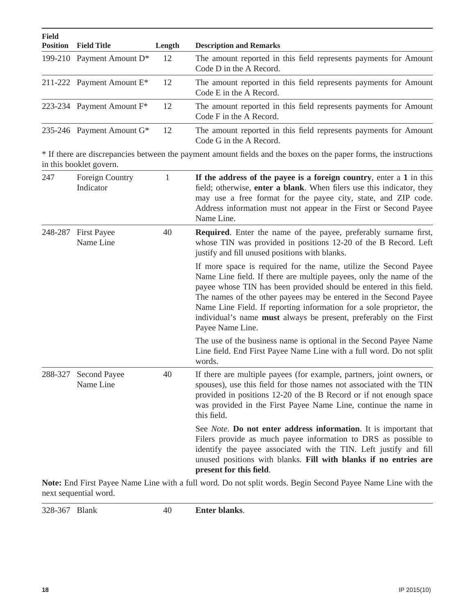| <b>Field</b><br><b>Position</b> | <b>Field Title</b>           | Length | <b>Description and Remarks</b>                                                              |
|---------------------------------|------------------------------|--------|---------------------------------------------------------------------------------------------|
|                                 | 199-210 Payment Amount $D^*$ | 12     | The amount reported in this field represents payments for Amount<br>Code D in the A Record. |
|                                 | 211-222 Payment Amount $E^*$ | 12     | The amount reported in this field represents payments for Amount<br>Code E in the A Record. |
|                                 | 223-234 Payment Amount $F^*$ | 12     | The amount reported in this field represents payments for Amount<br>Code F in the A Record. |
|                                 | 235-246 Payment Amount $G^*$ | 12     | The amount reported in this field represents payments for Amount<br>Code G in the A Record. |

\* If there are discrepancies between the payment amount fields and the boxes on the paper forms, the instructions in this booklet govern.

| 247     | Foreign Country<br>Indicator     | 1  | If the address of the payee is a foreign country, enter a 1 in this<br>field; otherwise, enter a blank. When filers use this indicator, they<br>may use a free format for the payee city, state, and ZIP code.<br>Address information must not appear in the First or Second Payee<br>Name Line.                                                                                                                                                   |
|---------|----------------------------------|----|----------------------------------------------------------------------------------------------------------------------------------------------------------------------------------------------------------------------------------------------------------------------------------------------------------------------------------------------------------------------------------------------------------------------------------------------------|
| 248-287 | <b>First Payee</b><br>Name Line  | 40 | Required. Enter the name of the payee, preferably surname first,<br>whose TIN was provided in positions 12-20 of the B Record. Left<br>justify and fill unused positions with blanks.                                                                                                                                                                                                                                                              |
|         |                                  |    | If more space is required for the name, utilize the Second Payee<br>Name Line field. If there are multiple payees, only the name of the<br>payee whose TIN has been provided should be entered in this field.<br>The names of the other payees may be entered in the Second Payee<br>Name Line Field. If reporting information for a sole proprietor, the<br>individual's name must always be present, preferably on the First<br>Payee Name Line. |
|         |                                  |    | The use of the business name is optional in the Second Payee Name<br>Line field. End First Payee Name Line with a full word. Do not split<br>words.                                                                                                                                                                                                                                                                                                |
| 288-327 | <b>Second Payee</b><br>Name Line | 40 | If there are multiple payees (for example, partners, joint owners, or<br>spouses), use this field for those names not associated with the TIN<br>provided in positions 12-20 of the B Record or if not enough space<br>was provided in the First Payee Name Line, continue the name in<br>this field.                                                                                                                                              |
|         |                                  |    | See <i>Note</i> . <b>Do not enter address information</b> . It is important that<br>Filers provide as much payee information to DRS as possible to<br>identify the payee associated with the TIN. Left justify and fill<br>unused positions with blanks. Fill with blanks if no entries are<br>present for this field.                                                                                                                             |

**Note:** End First Payee Name Line with a full word. Do not split words. Begin Second Payee Name Line with the next sequential word.

328-367 Blank 40 **Enter blanks**.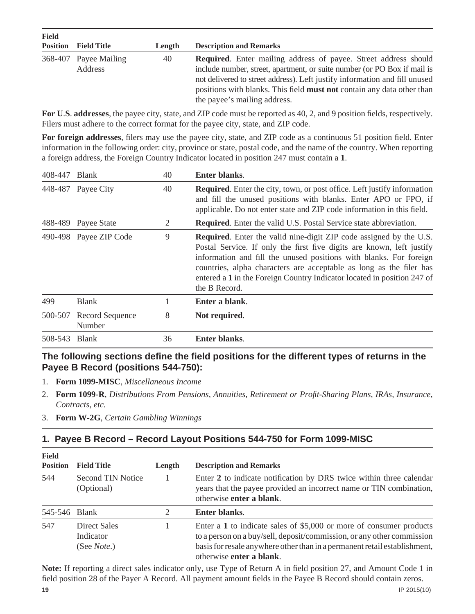| <b>Field</b>    |                                  |        |                                                                                                                                                                                                                                                                                                                                                   |
|-----------------|----------------------------------|--------|---------------------------------------------------------------------------------------------------------------------------------------------------------------------------------------------------------------------------------------------------------------------------------------------------------------------------------------------------|
| <b>Position</b> | <b>Field Title</b>               | Length | <b>Description and Remarks</b>                                                                                                                                                                                                                                                                                                                    |
|                 | 368-407 Payee Mailing<br>Address | 40     | <b>Required.</b> Enter mailing address of payee. Street address should<br>include number, street, apartment, or suite number (or PO Box if mail is<br>not delivered to street address). Left justify information and fill unused<br>positions with blanks. This field <b>must not</b> contain any data other than<br>the payee's mailing address. |

For U.S. addresses, the payee city, state, and ZIP code must be reported as 40, 2, and 9 position fields, respectively. Filers must adhere to the correct format for the payee city, state, and ZIP code.

For foreign addresses, filers may use the payee city, state, and ZIP code as a continuous 51 position field. Enter information in the following order: city, province or state, postal code, and the name of the country. When reporting a foreign address, the Foreign Country Indicator located in position 247 must contain a **1**.

| 408-447 | <b>Blank</b>                     | 40 | <b>Enter blanks.</b>                                                                                                                                                                                                                                                                                                                                                                        |
|---------|----------------------------------|----|---------------------------------------------------------------------------------------------------------------------------------------------------------------------------------------------------------------------------------------------------------------------------------------------------------------------------------------------------------------------------------------------|
|         | 448-487 Payee City               | 40 | <b>Required.</b> Enter the city, town, or post office. Left justify information<br>and fill the unused positions with blanks. Enter APO or FPO, if<br>applicable. Do not enter state and ZIP code information in this field.                                                                                                                                                                |
|         | 488-489 Payee State              | 2  | <b>Required.</b> Enter the valid U.S. Postal Service state abbreviation.                                                                                                                                                                                                                                                                                                                    |
|         | 490-498 Payee ZIP Code           | 9  | <b>Required.</b> Enter the valid nine-digit ZIP code assigned by the U.S.<br>Postal Service. If only the first five digits are known, left justify<br>information and fill the unused positions with blanks. For foreign<br>countries, alpha characters are acceptable as long as the filer has<br>entered a 1 in the Foreign Country Indicator located in position 247 of<br>the B Record. |
| 499     | <b>Blank</b>                     |    | Enter a blank.                                                                                                                                                                                                                                                                                                                                                                              |
| 500-507 | <b>Record Sequence</b><br>Number | 8  | Not required.                                                                                                                                                                                                                                                                                                                                                                               |
| 508-543 | <b>Blank</b>                     | 36 | <b>Enter blanks.</b>                                                                                                                                                                                                                                                                                                                                                                        |

### The following sections define the field positions for the different types of returns in the **Payee B Record (positions 544-750):**

- 1. **Form 1099-MISC**, *Miscellaneous Income*
- 2. **Form 1099-R**, *Distributions From Pensions, Annuities, Retirement or Profi t-Sharing Plans, IRAs, Insurance, Contracts, etc.*
- 3. **Form W-2G**, *Certain Gambling Winnings*

### **1. Payee B Record – Record Layout Positions 544-750 for Form 1099-MISC**

| <b>Field</b><br><b>Position</b> | <b>Field Title</b>                               | Length         | <b>Description and Remarks</b>                                                                                                                                                                                                                           |
|---------------------------------|--------------------------------------------------|----------------|----------------------------------------------------------------------------------------------------------------------------------------------------------------------------------------------------------------------------------------------------------|
| 544                             | Second TIN Notice<br>(Optional)                  |                | Enter 2 to indicate notification by DRS twice within three calendar<br>years that the payee provided an incorrect name or TIN combination,<br>otherwise enter a blank.                                                                                   |
| 545-546 Blank                   |                                                  | $\mathfrak{2}$ | Enter blanks.                                                                                                                                                                                                                                            |
| 547                             | Direct Sales<br>Indicator<br>(See <i>Note</i> .) |                | Enter a $1$ to indicate sales of \$5,000 or more of consumer products<br>to a person on a buy/sell, deposit/commission, or any other commission<br>basis for resale anywhere other than in a permanent retail establishment,<br>otherwise enter a blank. |

**Note:** If reporting a direct sales indicator only, use Type of Return A in field position 27, and Amount Code 1 in field position 28 of the Payer A Record. All payment amount fields in the Payee B Record should contain zeros.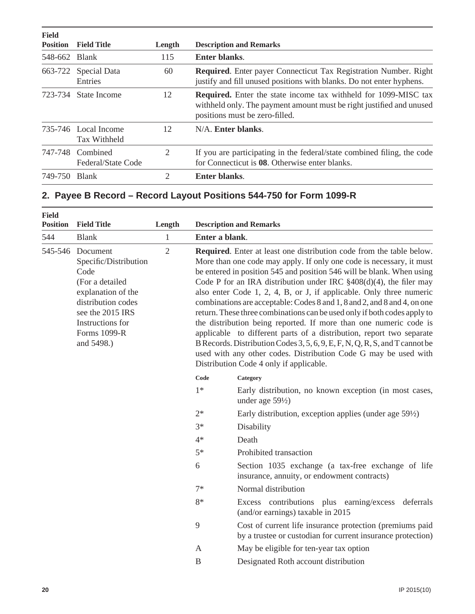| <b>Field</b><br><b>Position</b> | <b>Field Title</b>                     | Length | <b>Description and Remarks</b>                                                                                                                                                   |
|---------------------------------|----------------------------------------|--------|----------------------------------------------------------------------------------------------------------------------------------------------------------------------------------|
| 548-662 Blank                   |                                        | 115    | Enter blanks.                                                                                                                                                                    |
| 663-722                         | Special Data<br>Entries                | 60     | <b>Required.</b> Enter payer Connecticut Tax Registration Number. Right<br>justify and fill unused positions with blanks. Do not enter hyphens.                                  |
|                                 | 723-734 State Income                   | 12     | <b>Required.</b> Enter the state income tax withheld for 1099-MISC tax<br>withheld only. The payment amount must be right justified and unused<br>positions must be zero-filled. |
|                                 | 735-746 Local Income<br>Tax Withheld   | 12     | N/A. Enter blanks.                                                                                                                                                               |
|                                 | 747-748 Combined<br>Federal/State Code | 2      | If you are participating in the federal/state combined filing, the code<br>for Connecticut is 08. Otherwise enter blanks.                                                        |
| 749-750                         | <b>Blank</b>                           | 2      | <b>Enter blanks.</b>                                                                                                                                                             |

### **2. Payee B Record – Record Layout Positions 544-750 for Form 1099-R**

| <b>Field</b><br><b>Position</b> | <b>Field Title</b>                                                                                                                                                             | Length         |                                                                                                                                                                                                                                                                                                                                                                                                                                                                                                                                                                                                                                                                                                                                                                                                                                                                      | <b>Description and Remarks</b>                                                                                          |
|---------------------------------|--------------------------------------------------------------------------------------------------------------------------------------------------------------------------------|----------------|----------------------------------------------------------------------------------------------------------------------------------------------------------------------------------------------------------------------------------------------------------------------------------------------------------------------------------------------------------------------------------------------------------------------------------------------------------------------------------------------------------------------------------------------------------------------------------------------------------------------------------------------------------------------------------------------------------------------------------------------------------------------------------------------------------------------------------------------------------------------|-------------------------------------------------------------------------------------------------------------------------|
| 544                             | <b>Blank</b>                                                                                                                                                                   | $\mathbf{1}$   | Enter a blank.                                                                                                                                                                                                                                                                                                                                                                                                                                                                                                                                                                                                                                                                                                                                                                                                                                                       |                                                                                                                         |
| 545-546                         | Document<br>Specific/Distribution<br>Code<br>(For a detailed<br>explanation of the<br>distribution codes<br>see the 2015 IRS<br>Instructions for<br>Forms 1099-R<br>and 5498.) | $\overline{2}$ | Required. Enter at least one distribution code from the table below.<br>More than one code may apply. If only one code is necessary, it must<br>be entered in position 545 and position 546 will be blank. When using<br>Code P for an IRA distribution under IRC §408(d)(4), the filer may<br>also enter Code 1, 2, 4, B, or J, if applicable. Only three numeric<br>combinations are acceptable: Codes 8 and 1, 8 and 2, and 8 and 4, on one<br>return. These three combinations can be used only if both codes apply to<br>the distribution being reported. If more than one numeric code is<br>applicable to different parts of a distribution, report two separate<br>B Records. Distribution Codes 3, 5, 6, 9, E, F, N, Q, R, S, and T cannot be<br>used with any other codes. Distribution Code G may be used with<br>Distribution Code 4 only if applicable. |                                                                                                                         |
|                                 |                                                                                                                                                                                |                | Code<br>$1*$                                                                                                                                                                                                                                                                                                                                                                                                                                                                                                                                                                                                                                                                                                                                                                                                                                                         | Category<br>Early distribution, no known exception (in most cases,<br>under age $59\frac{1}{2}$                         |
|                                 |                                                                                                                                                                                |                | $2*$                                                                                                                                                                                                                                                                                                                                                                                                                                                                                                                                                                                                                                                                                                                                                                                                                                                                 | Early distribution, exception applies (under age $59\frac{1}{2}$ )                                                      |
|                                 |                                                                                                                                                                                |                | $3*$                                                                                                                                                                                                                                                                                                                                                                                                                                                                                                                                                                                                                                                                                                                                                                                                                                                                 | Disability                                                                                                              |
|                                 |                                                                                                                                                                                |                | $4*$                                                                                                                                                                                                                                                                                                                                                                                                                                                                                                                                                                                                                                                                                                                                                                                                                                                                 | Death                                                                                                                   |
|                                 |                                                                                                                                                                                |                | $5*$                                                                                                                                                                                                                                                                                                                                                                                                                                                                                                                                                                                                                                                                                                                                                                                                                                                                 | Prohibited transaction                                                                                                  |
|                                 |                                                                                                                                                                                |                | 6                                                                                                                                                                                                                                                                                                                                                                                                                                                                                                                                                                                                                                                                                                                                                                                                                                                                    | Section 1035 exchange (a tax-free exchange of life<br>insurance, annuity, or endowment contracts)                       |
|                                 |                                                                                                                                                                                |                | $7*$                                                                                                                                                                                                                                                                                                                                                                                                                                                                                                                                                                                                                                                                                                                                                                                                                                                                 | Normal distribution                                                                                                     |
|                                 |                                                                                                                                                                                |                | $8*$                                                                                                                                                                                                                                                                                                                                                                                                                                                                                                                                                                                                                                                                                                                                                                                                                                                                 | Excess contributions plus earning/excess<br>deferrals<br>(and/or earnings) taxable in 2015                              |
|                                 |                                                                                                                                                                                |                | 9                                                                                                                                                                                                                                                                                                                                                                                                                                                                                                                                                                                                                                                                                                                                                                                                                                                                    | Cost of current life insurance protection (premiums paid<br>by a trustee or custodian for current insurance protection) |
|                                 |                                                                                                                                                                                |                | A                                                                                                                                                                                                                                                                                                                                                                                                                                                                                                                                                                                                                                                                                                                                                                                                                                                                    | May be eligible for ten-year tax option                                                                                 |
|                                 |                                                                                                                                                                                |                | $\, {\bf B}$                                                                                                                                                                                                                                                                                                                                                                                                                                                                                                                                                                                                                                                                                                                                                                                                                                                         | Designated Roth account distribution                                                                                    |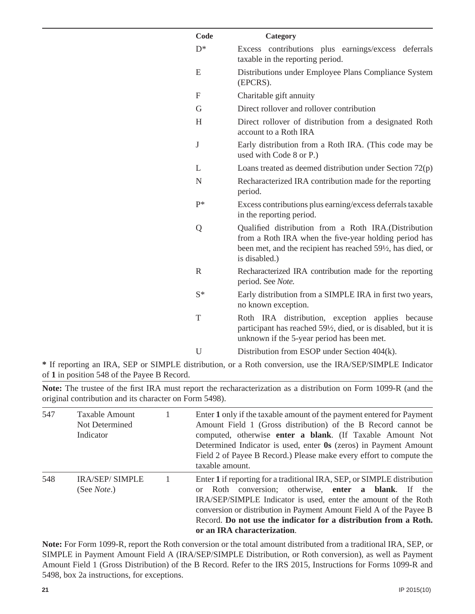| Code         |                                                                                                                                                                                               |
|--------------|-----------------------------------------------------------------------------------------------------------------------------------------------------------------------------------------------|
|              | Category                                                                                                                                                                                      |
| $D^*$        | Excess contributions plus earnings/excess deferrals<br>taxable in the reporting period.                                                                                                       |
| E            | Distributions under Employee Plans Compliance System<br>(EPCRS).                                                                                                                              |
| F            | Charitable gift annuity                                                                                                                                                                       |
| G            | Direct rollover and rollover contribution                                                                                                                                                     |
| H            | Direct rollover of distribution from a designated Roth<br>account to a Roth IRA                                                                                                               |
| $\bf J$      | Early distribution from a Roth IRA. (This code may be<br>used with Code 8 or P.)                                                                                                              |
| L            | Loans treated as deemed distribution under Section $72(p)$                                                                                                                                    |
| $\mathbf N$  | Recharacterized IRA contribution made for the reporting<br>period.                                                                                                                            |
| $P*$         | Excess contributions plus earning/excess deferrals taxable<br>in the reporting period.                                                                                                        |
| Q            | Qualified distribution from a Roth IRA.(Distribution<br>from a Roth IRA when the five-year holding period has<br>been met, and the recipient has reached 591/2, has died, or<br>is disabled.) |
| $\mathbb{R}$ | Recharacterized IRA contribution made for the reporting<br>period. See Note.                                                                                                                  |
| $S^*$        | Early distribution from a SIMPLE IRA in first two years,<br>no known exception.                                                                                                               |
| T            | Roth IRA distribution, exception applies because<br>participant has reached 59 <sup>1</sup> / <sub>2</sub> , died, or is disabled, but it is<br>unknown if the 5-year period has been met.    |
| U            | Distribution from ESOP under Section 404(k).                                                                                                                                                  |
|              |                                                                                                                                                                                               |

**\*** If reporting an IRA, SEP or SIMPLE distribution, or a Roth conversion, use the IRA/SEP/SIMPLE Indicator of **1** in position 548 of the Payee B Record.

Note: The trustee of the first IRA must report the recharacterization as a distribution on Form 1099-R (and the original contribution and its character on Form 5498).

| 547 | <b>Taxable Amount</b><br>Not Determined<br>Indicator | Enter 1 only if the taxable amount of the payment entered for Payment<br>Amount Field 1 (Gross distribution) of the B Record cannot be<br>computed, otherwise enter a blank. (If Taxable Amount Not<br>Determined Indicator is used, enter 0s (zeros) in Payment Amount<br>Field 2 of Payee B Record.) Please make every effort to compute the<br>taxable amount.                    |
|-----|------------------------------------------------------|--------------------------------------------------------------------------------------------------------------------------------------------------------------------------------------------------------------------------------------------------------------------------------------------------------------------------------------------------------------------------------------|
| 548 | <b>IRA/SEP/SIMPLE</b><br>(See <i>Note</i> .)         | Enter 1 if reporting for a traditional IRA, SEP, or SIMPLE distribution<br>Roth conversion; otherwise, enter a blank. If the<br>$\alpha$<br>IRA/SEP/SIMPLE Indicator is used, enter the amount of the Roth<br>conversion or distribution in Payment Amount Field A of the Payee B<br>Record. Do not use the indicator for a distribution from a Roth.<br>or an IRA characterization. |

**Note:** For Form 1099-R, report the Roth conversion or the total amount distributed from a traditional IRA, SEP, or SIMPLE in Payment Amount Field A (IRA/SEP/SIMPLE Distribution, or Roth conversion), as well as Payment Amount Field 1 (Gross Distribution) of the B Record. Refer to the IRS 2015, Instructions for Forms 1099-R and 5498, box 2a instructions, for exceptions.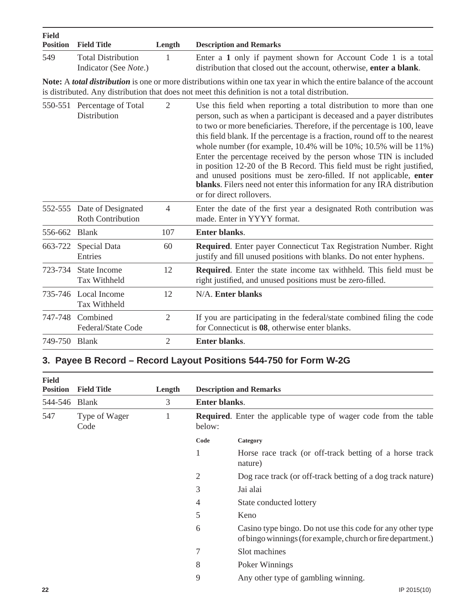| <b>Field</b><br><b>Position</b> | <b>Field Title</b>                                                   | Length         | <b>Description and Remarks</b>                                                                                                                                                                                                                                                                                                                                                                                                                                                                                                                                                                                                                                                                                         |
|---------------------------------|----------------------------------------------------------------------|----------------|------------------------------------------------------------------------------------------------------------------------------------------------------------------------------------------------------------------------------------------------------------------------------------------------------------------------------------------------------------------------------------------------------------------------------------------------------------------------------------------------------------------------------------------------------------------------------------------------------------------------------------------------------------------------------------------------------------------------|
| 549                             | <b>Total Distribution</b><br>Indicator (See Note.)                   | 1              | Enter a 1 only if payment shown for Account Code 1 is a total<br>distribution that closed out the account, otherwise, enter a blank.                                                                                                                                                                                                                                                                                                                                                                                                                                                                                                                                                                                   |
|                                 |                                                                      |                | Note: A <i>total distribution</i> is one or more distributions within one tax year in which the entire balance of the account<br>is distributed. Any distribution that does not meet this definition is not a total distribution.                                                                                                                                                                                                                                                                                                                                                                                                                                                                                      |
|                                 | 550-551 Percentage of Total<br>$\overline{2}$<br><b>Distribution</b> |                | Use this field when reporting a total distribution to more than one<br>person, such as when a participant is deceased and a payer distributes<br>to two or more beneficiaries. Therefore, if the percentage is 100, leave<br>this field blank. If the percentage is a fraction, round off to the nearest<br>whole number (for example, $10.4\%$ will be $10\%$ ; $10.5\%$ will be $11\%$ )<br>Enter the percentage received by the person whose TIN is included<br>in position 12-20 of the B Record. This field must be right justified,<br>and unused positions must be zero-filled. If not applicable, enter<br>blanks. Filers need not enter this information for any IRA distribution<br>or for direct rollovers. |
|                                 | 552-555 Date of Designated<br><b>Roth Contribution</b>               | 4              | Enter the date of the first year a designated Roth contribution was<br>made. Enter in YYYY format.                                                                                                                                                                                                                                                                                                                                                                                                                                                                                                                                                                                                                     |
| 556-662                         | <b>Blank</b>                                                         | 107            | Enter blanks.                                                                                                                                                                                                                                                                                                                                                                                                                                                                                                                                                                                                                                                                                                          |
| 663-722                         | Special Data<br>Entries                                              | 60             | Required. Enter payer Connecticut Tax Registration Number. Right<br>justify and fill unused positions with blanks. Do not enter hyphens.                                                                                                                                                                                                                                                                                                                                                                                                                                                                                                                                                                               |
| 723-734                         | State Income<br><b>Tax Withheld</b>                                  | 12             | Required. Enter the state income tax withheld. This field must be<br>right justified, and unused positions must be zero-filled.                                                                                                                                                                                                                                                                                                                                                                                                                                                                                                                                                                                        |
|                                 | 735-746 Local Income<br><b>Tax Withheld</b>                          | 12             | N/A. Enter blanks                                                                                                                                                                                                                                                                                                                                                                                                                                                                                                                                                                                                                                                                                                      |
| 747-748                         | Combined<br>Federal/State Code                                       | $\overline{2}$ | If you are participating in the federal/state combined filing the code<br>for Connecticut is 08, otherwise enter blanks.                                                                                                                                                                                                                                                                                                                                                                                                                                                                                                                                                                                               |
| 749-750 Blank                   |                                                                      | $\overline{2}$ | <b>Enter blanks.</b>                                                                                                                                                                                                                                                                                                                                                                                                                                                                                                                                                                                                                                                                                                   |

### **3. Payee B Record – Record Layout Positions 544-750 for Form W-2G**

| <b>Field</b><br><b>Position</b> | <b>Field Title</b>    | Length | <b>Description and Remarks</b> |                                                                                                                           |  |  |  |
|---------------------------------|-----------------------|--------|--------------------------------|---------------------------------------------------------------------------------------------------------------------------|--|--|--|
| 544-546                         | <b>Blank</b>          | 3      | Enter blanks.                  |                                                                                                                           |  |  |  |
| 547                             | Type of Wager<br>Code | 1      | below:                         | <b>Required.</b> Enter the applicable type of wager code from the table                                                   |  |  |  |
|                                 |                       |        | Code                           | Category                                                                                                                  |  |  |  |
|                                 |                       |        |                                | Horse race track (or off-track betting of a horse track<br>nature)                                                        |  |  |  |
|                                 |                       |        | 2                              | Dog race track (or off-track betting of a dog track nature)                                                               |  |  |  |
|                                 |                       |        | 3                              | Jai alai                                                                                                                  |  |  |  |
|                                 |                       |        | 4                              | State conducted lottery                                                                                                   |  |  |  |
|                                 |                       |        | 5                              | Keno                                                                                                                      |  |  |  |
|                                 |                       |        | 6                              | Casino type bingo. Do not use this code for any other type<br>of bingo winnings (for example, church or fire department.) |  |  |  |
|                                 |                       |        | 7                              | Slot machines                                                                                                             |  |  |  |
|                                 |                       |        | 8                              | Poker Winnings                                                                                                            |  |  |  |
|                                 |                       |        | 9                              | Any other type of gambling winning.                                                                                       |  |  |  |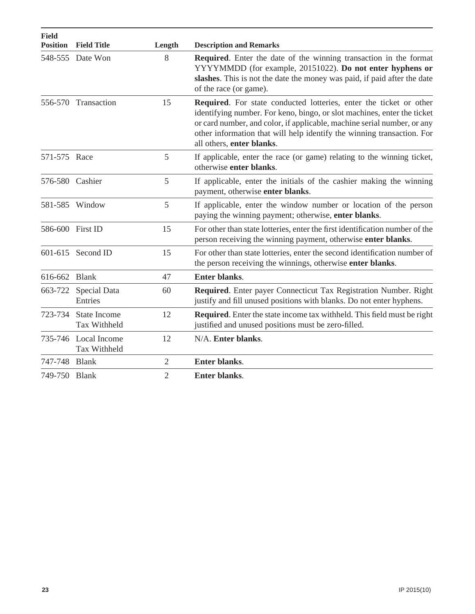| <b>Field</b><br><b>Position</b> | <b>Field Title</b>                         | Length         | <b>Description and Remarks</b>                                                                                                                                                                                                                                                                                                  |
|---------------------------------|--------------------------------------------|----------------|---------------------------------------------------------------------------------------------------------------------------------------------------------------------------------------------------------------------------------------------------------------------------------------------------------------------------------|
|                                 | 548-555 Date Won                           | 8              | <b>Required.</b> Enter the date of the winning transaction in the format<br>YYYYMMDD (for example, 20151022). Do not enter hyphens or<br>slashes. This is not the date the money was paid, if paid after the date<br>of the race (or game).                                                                                     |
|                                 | 556-570 Transaction                        | 15             | Required. For state conducted lotteries, enter the ticket or other<br>identifying number. For keno, bingo, or slot machines, enter the ticket<br>or card number, and color, if applicable, machine serial number, or any<br>other information that will help identify the winning transaction. For<br>all others, enter blanks. |
| 571-575 Race                    |                                            | 5              | If applicable, enter the race (or game) relating to the winning ticket,<br>otherwise enter blanks.                                                                                                                                                                                                                              |
| 576-580 Cashier                 |                                            | 5              | If applicable, enter the initials of the cashier making the winning<br>payment, otherwise enter blanks.                                                                                                                                                                                                                         |
|                                 | 581-585 Window                             | 5              | If applicable, enter the window number or location of the person<br>paying the winning payment; otherwise, enter blanks.                                                                                                                                                                                                        |
| 586-600 First ID                |                                            | 15             | For other than state lotteries, enter the first identification number of the<br>person receiving the winning payment, otherwise enter blanks.                                                                                                                                                                                   |
|                                 | 601-615 Second ID                          | 15             | For other than state lotteries, enter the second identification number of<br>the person receiving the winnings, otherwise enter blanks.                                                                                                                                                                                         |
| 616-662 Blank                   |                                            | 47             | <b>Enter blanks.</b>                                                                                                                                                                                                                                                                                                            |
| 663-722                         | Special Data<br>Entries                    | 60             | Required. Enter payer Connecticut Tax Registration Number. Right<br>justify and fill unused positions with blanks. Do not enter hyphens.                                                                                                                                                                                        |
| 723-734                         | <b>State Income</b><br><b>Tax Withheld</b> | 12             | <b>Required.</b> Enter the state income tax withheld. This field must be right<br>justified and unused positions must be zero-filled.                                                                                                                                                                                           |
|                                 | 735-746 Local Income<br>Tax Withheld       | 12             | N/A. Enter blanks.                                                                                                                                                                                                                                                                                                              |
| 747-748 Blank                   |                                            | $\overline{2}$ | Enter blanks.                                                                                                                                                                                                                                                                                                                   |
| 749-750 Blank                   |                                            | $\overline{2}$ | <b>Enter blanks.</b>                                                                                                                                                                                                                                                                                                            |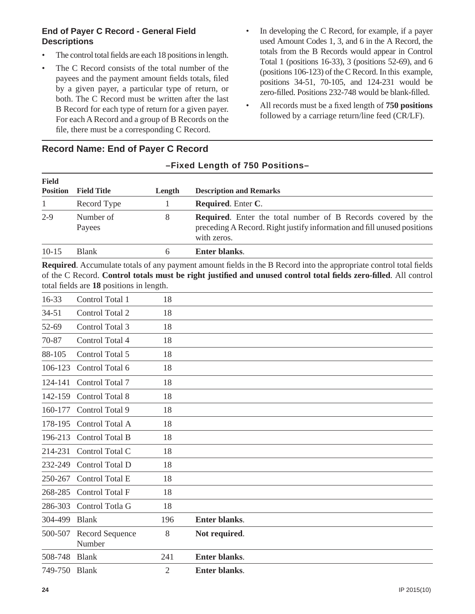### **End of Payer C Record - General Field Descriptions**

- The control total fields are each 18 positions in length.
- The C Record consists of the total number of the payees and the payment amount fields totals, filed by a given payer, a particular type of return, or both. The C Record must be written after the last B Record for each type of return for a given payer. For each A Record and a group of B Records on the file, there must be a corresponding C Record.
- In developing the C Record, for example, if a payer used Amount Codes 1, 3, and 6 in the A Record, the totals from the B Records would appear in Control Total 1 (positions 16-33), 3 (positions 52-69), and 6 (positions 106-123) of the C Record. In this example, positions 34-51, 70-105, and 124-231 would be zero-filled. Positions 232-748 would be blank-filled.
- All records must be a fixed length of **750 positions** followed by a carriage return/line feed (CR/LF).

| <b>Field</b>    |                     |        |                                                                                                                                                               |
|-----------------|---------------------|--------|---------------------------------------------------------------------------------------------------------------------------------------------------------------|
| <b>Position</b> | <b>Field Title</b>  | Length | <b>Description and Remarks</b>                                                                                                                                |
|                 | Record Type         |        | <b>Required.</b> Enter C.                                                                                                                                     |
| $2 - 9$         | Number of<br>Payees | 8      | <b>Required.</b> Enter the total number of B Records covered by the<br>preceding A Record. Right justify information and fill unused positions<br>with zeros. |
| $10-15$         | <b>Blank</b>        | h      | Enter blanks.                                                                                                                                                 |

**–Fixed Length of 750 Positions–**

### **Record Name: End of Payer C Record**

**Required.** Accumulate totals of any payment amount fields in the B Record into the appropriate control total fields of the C Record. **Control totals must be right justifi ed and unused control total fi elds zero-fi lled**. All control total fields are 18 positions in length.

| 16-33     | Control Total 1           | 18  |                      |  |  |
|-----------|---------------------------|-----|----------------------|--|--|
| $34 - 51$ | Control Total 2           | 18  |                      |  |  |
| 52-69     | Control Total 3           | 18  |                      |  |  |
| 70-87     | Control Total 4           | 18  |                      |  |  |
| 88-105    | Control Total 5           | 18  |                      |  |  |
| 106-123   | Control Total 6           | 18  |                      |  |  |
| 124-141   | Control Total 7           | 18  |                      |  |  |
| 142-159   | Control Total 8           | 18  |                      |  |  |
| 160-177   | Control Total 9           | 18  |                      |  |  |
| 178-195   | Control Total A           | 18  |                      |  |  |
| 196-213   | Control Total B           | 18  |                      |  |  |
| 214-231   | Control Total C           | 18  |                      |  |  |
| 232-249   | Control Total D           | 18  |                      |  |  |
| 250-267   | Control Total E           | 18  |                      |  |  |
| 268-285   | Control Total F           | 18  |                      |  |  |
| 286-303   | Control Totla G           | 18  |                      |  |  |
| 304-499   | <b>Blank</b>              | 196 | Enter blanks.        |  |  |
| 500-507   | Record Sequence<br>Number | 8   | Not required.        |  |  |
| 508-748   | <b>Blank</b>              | 241 | Enter blanks.        |  |  |
| 749-750   | <b>Blank</b>              | 2   | <b>Enter blanks.</b> |  |  |

#### **24** IP 2015(10)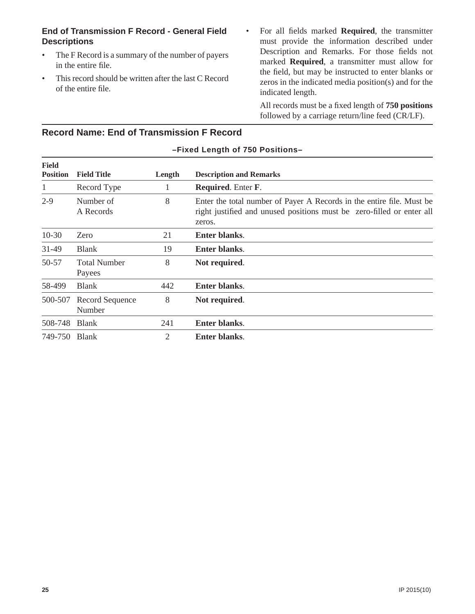### **End of Transmission F Record - General Field Descriptions**

- The F Record is a summary of the number of payers in the entire file.
- This record should be written after the last C Record of the entire file.
- For all fields marked **Required**, the transmitter must provide the information described under Description and Remarks. For those fields not marked **Required**, a transmitter must allow for the field, but may be instructed to enter blanks or zeros in the indicated media position(s) and for the indicated length.

All records must be a fixed length of **750 positions** followed by a carriage return/line feed (CR/LF).

|                                 | -Fixed Length of 750 Positions- |                |                                                                                                                                                          |  |  |  |  |
|---------------------------------|---------------------------------|----------------|----------------------------------------------------------------------------------------------------------------------------------------------------------|--|--|--|--|
| <b>Field</b><br><b>Position</b> | <b>Field Title</b>              | Length         | <b>Description and Remarks</b>                                                                                                                           |  |  |  |  |
| 1                               | Record Type                     |                | <b>Required.</b> Enter F.                                                                                                                                |  |  |  |  |
| $2 - 9$                         | Number of<br>A Records          | 8              | Enter the total number of Payer A Records in the entire file. Must be<br>right justified and unused positions must be zero-filled or enter all<br>zeros. |  |  |  |  |
| $10-30$                         | Zero                            | 21             | <b>Enter blanks.</b>                                                                                                                                     |  |  |  |  |
| 31-49                           | <b>Blank</b>                    | 19             | Enter blanks.                                                                                                                                            |  |  |  |  |
| 50-57                           | <b>Total Number</b><br>Payees   | 8              | Not required.                                                                                                                                            |  |  |  |  |
| 58-499                          | <b>Blank</b>                    | 442            | Enter blanks.                                                                                                                                            |  |  |  |  |
| 500-507                         | Record Sequence<br>Number       | 8              | Not required.                                                                                                                                            |  |  |  |  |
| 508-748                         | <b>Blank</b>                    | 241            | <b>Enter blanks.</b>                                                                                                                                     |  |  |  |  |
| 749-750 Blank                   |                                 | $\overline{2}$ | <b>Enter blanks.</b>                                                                                                                                     |  |  |  |  |

### **Record Name: End of Transmission F Record**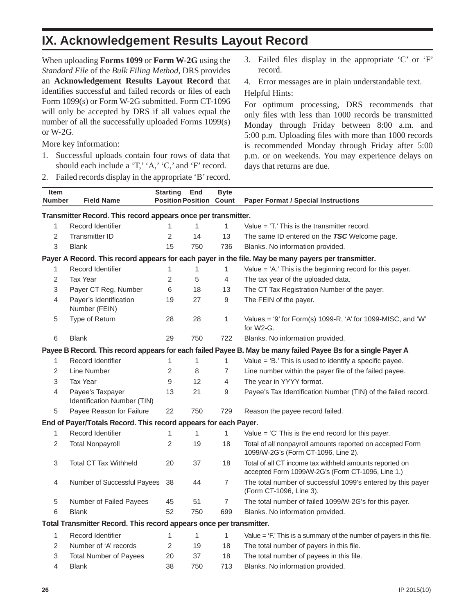### **IX. Acknowledgement Results Layout Record**

When uploading **Forms 1099** or **Form W-2G** using the *Standard File* of the *Bulk Filing Method*, DRS provides an **Acknowledgement Results Layout Record** that identifies successful and failed records or files of each Form 1099(s) or Form W-2G submitted. Form CT-1096 will only be accepted by DRS if all values equal the number of all the successfully uploaded Forms 1099(s) or W-2G.

More key information:

- 1. Successful uploads contain four rows of data that should each include a 'T,' 'A,' 'C,' and 'F' record.
- 2. Failed records display in the appropriate 'B' record.

3. Failed files display in the appropriate  $C'$  or  $F'$ record.

4. Error messages are in plain understandable text. Helpful Hints:

For optimum processing, DRS recommends that only files with less than 1000 records be transmitted Monday through Friday between 8:00 a.m. and 5:00 p.m. Uploading files with more than 1000 records is recommended Monday through Friday after 5:00 p.m. or on weekends. You may experience delays on days that returns are due.

| <b>Item</b><br><b>Number</b>                                  | <b>Field Name</b>                                                   | <b>Starting</b><br><b>Position Position</b> | End          | <b>Byte</b><br>Count | <b>Paper Format / Special Instructions</b>                                                                    |  |  |  |
|---------------------------------------------------------------|---------------------------------------------------------------------|---------------------------------------------|--------------|----------------------|---------------------------------------------------------------------------------------------------------------|--|--|--|
| Transmitter Record. This record appears once per transmitter. |                                                                     |                                             |              |                      |                                                                                                               |  |  |  |
| 1                                                             | Record Identifier                                                   | 1                                           | $\mathbf{1}$ | $\mathbf{1}$         | Value $=$ 'T.' This is the transmitter record.                                                                |  |  |  |
| 2                                                             | <b>Transmitter ID</b>                                               | 2                                           | 14           | 13                   | The same ID entered on the TSC Welcome page.                                                                  |  |  |  |
| 3                                                             | <b>Blank</b>                                                        | 15                                          | 750          | 736                  | Blanks. No information provided.                                                                              |  |  |  |
|                                                               |                                                                     |                                             |              |                      | Payer A Record. This record appears for each payer in the file. May be many payers per transmitter.           |  |  |  |
| 1                                                             | <b>Record Identifier</b>                                            | 1                                           | 1            | 1                    | Value = 'A.' This is the beginning record for this payer.                                                     |  |  |  |
| 2                                                             | <b>Tax Year</b>                                                     | $\overline{c}$                              | 5            | $\overline{4}$       | The tax year of the uploaded data.                                                                            |  |  |  |
| 3                                                             | Payer CT Reg. Number                                                | 6                                           | 18           | 13                   | The CT Tax Registration Number of the payer.                                                                  |  |  |  |
| 4                                                             | Payer's Identification<br>Number (FEIN)                             | 19                                          | 27           | $\boldsymbol{9}$     | The FEIN of the payer.                                                                                        |  |  |  |
| 5                                                             | Type of Return                                                      | 28                                          | 28           | $\mathbf{1}$         | Values = '9' for Form(s) 1099-R, 'A' for 1099-MISC, and 'W'<br>for W2-G.                                      |  |  |  |
| 6                                                             | <b>Blank</b>                                                        | 29                                          | 750          | 722                  | Blanks. No information provided.                                                                              |  |  |  |
|                                                               |                                                                     |                                             |              |                      | Payee B Record. This record appears for each failed Payee B. May be many failed Payee Bs for a single Payer A |  |  |  |
| 1                                                             | <b>Record Identifier</b>                                            | 1                                           | 1            | 1                    | Value = 'B.' This is used to identify a specific payee.                                                       |  |  |  |
| 2                                                             | Line Number                                                         | $\overline{c}$                              | 8            | 7                    | Line number within the payer file of the failed payee.                                                        |  |  |  |
| 3                                                             | <b>Tax Year</b>                                                     | 9                                           | 12           | 4                    | The year in YYYY format.                                                                                      |  |  |  |
| 4                                                             | Payee's Taxpayer<br>Identification Number (TIN)                     | 13                                          | 21           | 9                    | Payee's Tax Identification Number (TIN) of the failed record.                                                 |  |  |  |
| 5                                                             | Payee Reason for Failure                                            | 22                                          | 750          | 729                  | Reason the payee record failed.                                                                               |  |  |  |
|                                                               | End of Payer/Totals Record. This record appears for each Payer.     |                                             |              |                      |                                                                                                               |  |  |  |
| 1                                                             | <b>Record Identifier</b>                                            | 1                                           | 1            | $\mathbf{1}$         | Value $=$ 'C' This is the end record for this payer.                                                          |  |  |  |
| 2                                                             | <b>Total Nonpayroll</b>                                             | $\overline{c}$                              | 19           | 18                   | Total of all nonpayroll amounts reported on accepted Form<br>1099/W-2G's (Form CT-1096, Line 2).              |  |  |  |
| 3                                                             | <b>Total CT Tax Withheld</b>                                        | 20                                          | 37           | 18                   | Total of all CT income tax withheld amounts reported on<br>accepted Form 1099/W-2G's (Form CT-1096, Line 1.)  |  |  |  |
| 4                                                             | Number of Successful Payees                                         | 38                                          | 44           | $\overline{7}$       | The total number of successful 1099's entered by this payer<br>(Form CT-1096, Line 3).                        |  |  |  |
| 5                                                             | Number of Failed Payees                                             | 45                                          | 51           | $\overline{7}$       | The total number of failed 1099/W-2G's for this payer.                                                        |  |  |  |
| 6                                                             | <b>Blank</b>                                                        | 52                                          | 750          | 699                  | Blanks. No information provided.                                                                              |  |  |  |
|                                                               | Total Transmitter Record. This record appears once per transmitter. |                                             |              |                      |                                                                                                               |  |  |  |
| 1                                                             | <b>Record Identifier</b>                                            | 1                                           | 1            | $\mathbf{1}$         | Value $=$ 'F.' This is a summary of the number of payers in this file.                                        |  |  |  |
| 2                                                             | Number of 'A' records                                               | 2                                           | 19           | 18                   | The total number of payers in this file.                                                                      |  |  |  |
| 3                                                             | <b>Total Number of Payees</b>                                       | 20                                          | 37           | 18                   | The total number of payees in this file.                                                                      |  |  |  |
| 4                                                             | <b>Blank</b>                                                        | 38                                          | 750          | 713                  | Blanks. No information provided.                                                                              |  |  |  |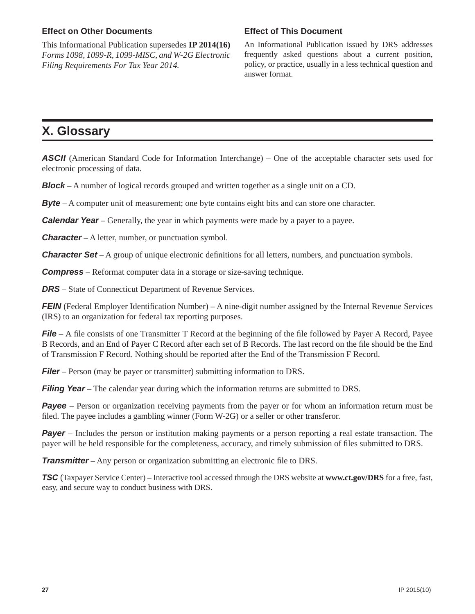#### **Effect on Other Documents**

This Informational Publication supersedes **IP 2014(16)** *Forms 1098, 1099-R, 1099-MISC, and W-2G Electronic Filing Requirements For Tax Year 2014.*

#### **Effect of This Document**

An Informational Publication issued by DRS addresses frequently asked questions about a current position, policy, or practice, usually in a less technical question and answer format.

### **X. Glossary**

**ASCII** (American Standard Code for Information Interchange) – One of the acceptable character sets used for electronic processing of data.

*Block* – A number of logical records grouped and written together as a single unit on a CD.

**Byte** – A computer unit of measurement; one byte contains eight bits and can store one character.

*Calendar Year* – Generally, the year in which payments were made by a payer to a payee.

*Character* – A letter, number, or punctuation symbol.

**Character Set** – A group of unique electronic definitions for all letters, numbers, and punctuation symbols.

*Compress* – Reformat computer data in a storage or size-saving technique.

*DRS* – State of Connecticut Department of Revenue Services.

*FEIN* (Federal Employer Identification Number) – A nine-digit number assigned by the Internal Revenue Services (IRS) to an organization for federal tax reporting purposes.

*File* – A file consists of one Transmitter T Record at the beginning of the file followed by Payer A Record, Payee B Records, and an End of Payer C Record after each set of B Records. The last record on the file should be the End of Transmission F Record. Nothing should be reported after the End of the Transmission F Record.

*Filer* – Person (may be payer or transmitter) submitting information to DRS.

*Filing Year* – The calendar year during which the information returns are submitted to DRS.

*Payee* – Person or organization receiving payments from the payer or for whom an information return must be filed. The payee includes a gambling winner (Form W-2G) or a seller or other transferor.

*Payer* – Includes the person or institution making payments or a person reporting a real estate transaction. The payer will be held responsible for the completeness, accuracy, and timely submission of files submitted to DRS.

*Transmitter* – Any person or organization submitting an electronic file to DRS.

*TSC* (Taxpayer Service Center) – Interactive tool accessed through the DRS website at **www.ct.gov/DRS** for a free, fast, easy, and secure way to conduct business with DRS.